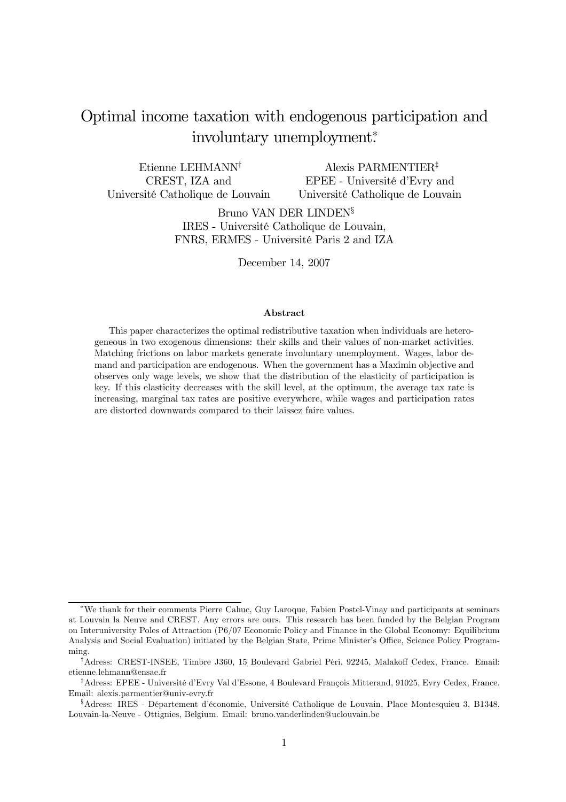# Optimal income taxation with endogenous participation and involuntary unemployment<sup>∗</sup> .

Etienne LEHMANN† CREST, IZA and Université Catholique de Louvain

Alexis PARMENTIER‡ EPEE - Université d'Evry and Université Catholique de Louvain

Bruno VAN DER LINDEN§ IRES - Université Catholique de Louvain, FNRS, ERMES - Université Paris 2 and IZA

December 14, 2007

#### Abstract

This paper characterizes the optimal redistributive taxation when individuals are heterogeneous in two exogenous dimensions: their skills and their values of non-market activities. Matching frictions on labor markets generate involuntary unemployment. Wages, labor demand and participation are endogenous. When the government has a Maximin objective and observes only wage levels, we show that the distribution of the elasticity of participation is key. If this elasticity decreases with the skill level, at the optimum, the average tax rate is increasing, marginal tax rates are positive everywhere, while wages and participation rates are distorted downwards compared to their laissez faire values.

<sup>∗</sup>We thank for their comments Pierre Cahuc, Guy Laroque, Fabien Postel-Vinay and participants at seminars at Louvain la Neuve and CREST. Any errors are ours. This research has been funded by the Belgian Program on Interuniversity Poles of Attraction (P6/07 Economic Policy and Finance in the Global Economy: Equilibrium Analysis and Social Evaluation) initiated by the Belgian State, Prime Minister's Office, Science Policy Programming.

<sup>†</sup>Adress: CREST-INSEE, Timbre J360, 15 Boulevard Gabriel Péri, 92245, Malakoff Cedex, France. Email: etienne.lehmann@ensae.fr

<sup>‡</sup>Adress: EPEE - Université d'Evry Val d'Essone, 4 Boulevard François Mitterand, 91025, Evry Cedex, France. Email: alexis.parmentier@univ-evry.fr

<sup>§</sup>Adress: IRES - Département d'économie, Université Catholique de Louvain, Place Montesquieu 3, B1348, Louvain-la-Neuve - Ottignies, Belgium. Email: bruno.vanderlinden@uclouvain.be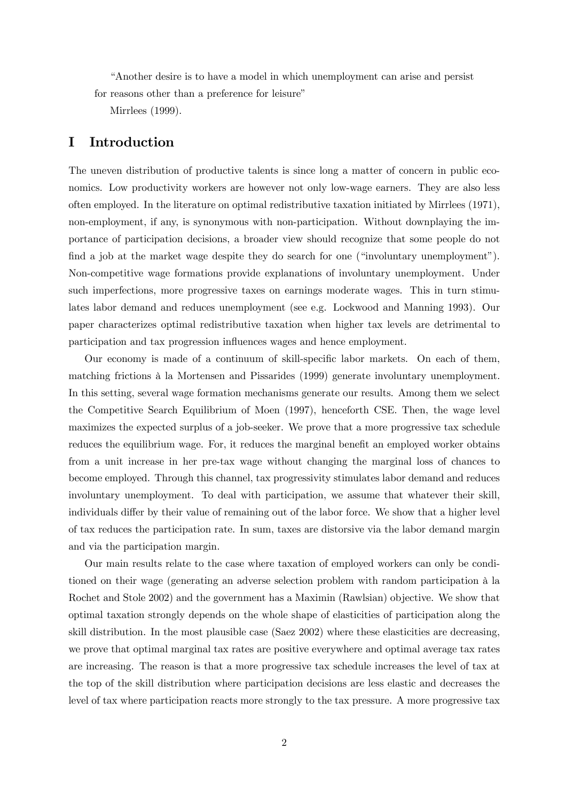"Another desire is to have a model in which unemployment can arise and persist for reasons other than a preference for leisure"

Mirrlees (1999).

# I Introduction

The uneven distribution of productive talents is since long a matter of concern in public economics. Low productivity workers are however not only low-wage earners. They are also less often employed. In the literature on optimal redistributive taxation initiated by Mirrlees (1971), non-employment, if any, is synonymous with non-participation. Without downplaying the importance of participation decisions, a broader view should recognize that some people do not find a job at the market wage despite they do search for one ("involuntary unemployment"). Non-competitive wage formations provide explanations of involuntary unemployment. Under such imperfections, more progressive taxes on earnings moderate wages. This in turn stimulates labor demand and reduces unemployment (see e.g. Lockwood and Manning 1993). Our paper characterizes optimal redistributive taxation when higher tax levels are detrimental to participation and tax progression influences wages and hence employment.

Our economy is made of a continuum of skill-specific labor markets. On each of them, matching frictions à la Mortensen and Pissarides (1999) generate involuntary unemployment. In this setting, several wage formation mechanisms generate our results. Among them we select the Competitive Search Equilibrium of Moen (1997), henceforth CSE. Then, the wage level maximizes the expected surplus of a job-seeker. We prove that a more progressive tax schedule reduces the equilibrium wage. For, it reduces the marginal benefit an employed worker obtains from a unit increase in her pre-tax wage without changing the marginal loss of chances to become employed. Through this channel, tax progressivity stimulates labor demand and reduces involuntary unemployment. To deal with participation, we assume that whatever their skill, individuals differ by their value of remaining out of the labor force. We show that a higher level of tax reduces the participation rate. In sum, taxes are distorsive via the labor demand margin and via the participation margin.

Our main results relate to the case where taxation of employed workers can only be conditioned on their wage (generating an adverse selection problem with random participation à la Rochet and Stole 2002) and the government has a Maximin (Rawlsian) objective. We show that optimal taxation strongly depends on the whole shape of elasticities of participation along the skill distribution. In the most plausible case (Saez 2002) where these elasticities are decreasing, we prove that optimal marginal tax rates are positive everywhere and optimal average tax rates are increasing. The reason is that a more progressive tax schedule increases the level of tax at the top of the skill distribution where participation decisions are less elastic and decreases the level of tax where participation reacts more strongly to the tax pressure. A more progressive tax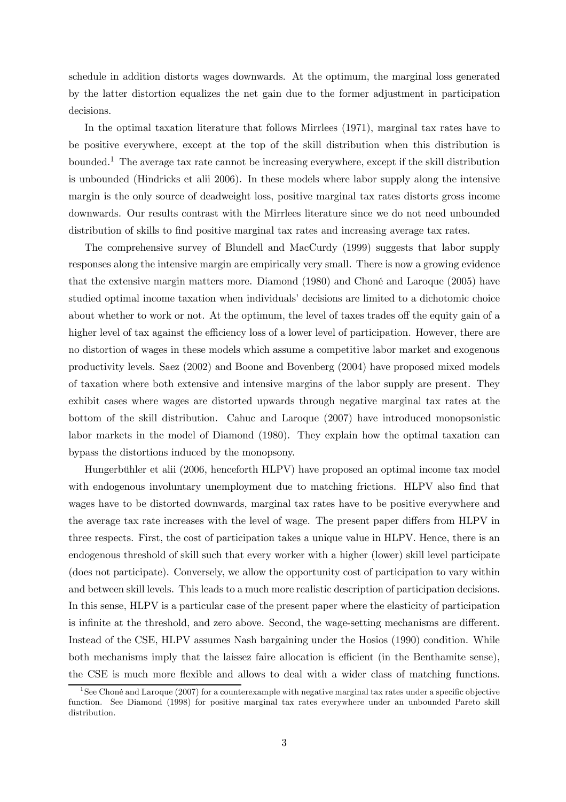schedule in addition distorts wages downwards. At the optimum, the marginal loss generated by the latter distortion equalizes the net gain due to the former adjustment in participation decisions.

In the optimal taxation literature that follows Mirrlees (1971), marginal tax rates have to be positive everywhere, except at the top of the skill distribution when this distribution is bounded.1 The average tax rate cannot be increasing everywhere, except if the skill distribution is unbounded (Hindricks et alii 2006). In these models where labor supply along the intensive margin is the only source of deadweight loss, positive marginal tax rates distorts gross income downwards. Our results contrast with the Mirrlees literature since we do not need unbounded distribution of skills to find positive marginal tax rates and increasing average tax rates.

The comprehensive survey of Blundell and MacCurdy (1999) suggests that labor supply responses along the intensive margin are empirically very small. There is now a growing evidence that the extensive margin matters more. Diamond (1980) and Choné and Laroque (2005) have studied optimal income taxation when individuals' decisions are limited to a dichotomic choice about whether to work or not. At the optimum, the level of taxes trades off the equity gain of a higher level of tax against the efficiency loss of a lower level of participation. However, there are no distortion of wages in these models which assume a competitive labor market and exogenous productivity levels. Saez (2002) and Boone and Bovenberg (2004) have proposed mixed models of taxation where both extensive and intensive margins of the labor supply are present. They exhibit cases where wages are distorted upwards through negative marginal tax rates at the bottom of the skill distribution. Cahuc and Laroque (2007) have introduced monopsonistic labor markets in the model of Diamond (1980). They explain how the optimal taxation can bypass the distortions induced by the monopsony.

Hungerbühler et alii (2006, henceforth HLPV) have proposed an optimal income tax model with endogenous involuntary unemployment due to matching frictions. HLPV also find that wages have to be distorted downwards, marginal tax rates have to be positive everywhere and the average tax rate increases with the level of wage. The present paper differs from HLPV in three respects. First, the cost of participation takes a unique value in HLPV. Hence, there is an endogenous threshold of skill such that every worker with a higher (lower) skill level participate (does not participate). Conversely, we allow the opportunity cost of participation to vary within and between skill levels. This leads to a much more realistic description of participation decisions. In this sense, HLPV is a particular case of the present paper where the elasticity of participation is infinite at the threshold, and zero above. Second, the wage-setting mechanisms are different. Instead of the CSE, HLPV assumes Nash bargaining under the Hosios (1990) condition. While both mechanisms imply that the laissez faire allocation is efficient (in the Benthamite sense), the CSE is much more flexible and allows to deal with a wider class of matching functions.

<sup>&</sup>lt;sup>1</sup>See Choné and Laroque (2007) for a counterexample with negative marginal tax rates under a specific objective function. See Diamond (1998) for positive marginal tax rates everywhere under an unbounded Pareto skill distribution.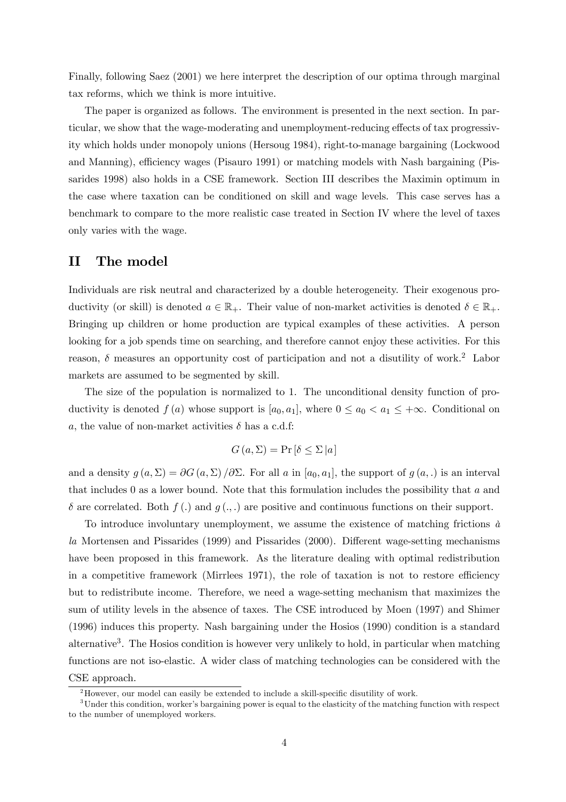Finally, following Saez (2001) we here interpret the description of our optima through marginal tax reforms, which we think is more intuitive.

The paper is organized as follows. The environment is presented in the next section. In particular, we show that the wage-moderating and unemployment-reducing effects of tax progressivity which holds under monopoly unions (Hersoug 1984), right-to-manage bargaining (Lockwood and Manning), efficiency wages (Pisauro 1991) or matching models with Nash bargaining (Pissarides 1998) also holds in a CSE framework. Section III describes the Maximin optimum in the case where taxation can be conditioned on skill and wage levels. This case serves has a benchmark to compare to the more realistic case treated in Section IV where the level of taxes only varies with the wage.

### II The model

Individuals are risk neutral and characterized by a double heterogeneity. Their exogenous productivity (or skill) is denoted  $a \in \mathbb{R}_+$ . Their value of non-market activities is denoted  $\delta \in \mathbb{R}_+$ . Bringing up children or home production are typical examples of these activities. A person looking for a job spends time on searching, and therefore cannot enjoy these activities. For this reason,  $\delta$  measures an opportunity cost of participation and not a disutility of work.<sup>2</sup> Labor markets are assumed to be segmented by skill.

The size of the population is normalized to 1. The unconditional density function of productivity is denoted  $f(a)$  whose support is  $[a_0, a_1]$ , where  $0 \le a_0 < a_1 \le +\infty$ . Conditional on a, the value of non-market activities  $\delta$  has a c.d.f:

$$
G(a,\Sigma) = \Pr\left[\delta \le \Sigma | a\right]
$$

and a density  $g(a, \Sigma) = \partial G(a, \Sigma) / \partial \Sigma$ . For all a in  $[a_0, a_1]$ , the support of  $g(a, .)$  is an interval that includes 0 as a lower bound. Note that this formulation includes the possibility that  $a$  and  $\delta$  are correlated. Both  $f(.)$  and  $g(.)$ , are positive and continuous functions on their support.

To introduce involuntary unemployment, we assume the existence of matching frictions  $\dot{a}$ la Mortensen and Pissarides (1999) and Pissarides (2000). Different wage-setting mechanisms have been proposed in this framework. As the literature dealing with optimal redistribution in a competitive framework (Mirrlees 1971), the role of taxation is not to restore efficiency but to redistribute income. Therefore, we need a wage-setting mechanism that maximizes the sum of utility levels in the absence of taxes. The CSE introduced by Moen (1997) and Shimer (1996) induces this property. Nash bargaining under the Hosios (1990) condition is a standard alternative<sup>3</sup>. The Hosios condition is however very unlikely to hold, in particular when matching functions are not iso-elastic. A wider class of matching technologies can be considered with the CSE approach.

 $2$ However, our model can easily be extended to include a skill-specific disutility of work.

<sup>&</sup>lt;sup>3</sup>Under this condition, worker's bargaining power is equal to the elasticity of the matching function with respect to the number of unemployed workers.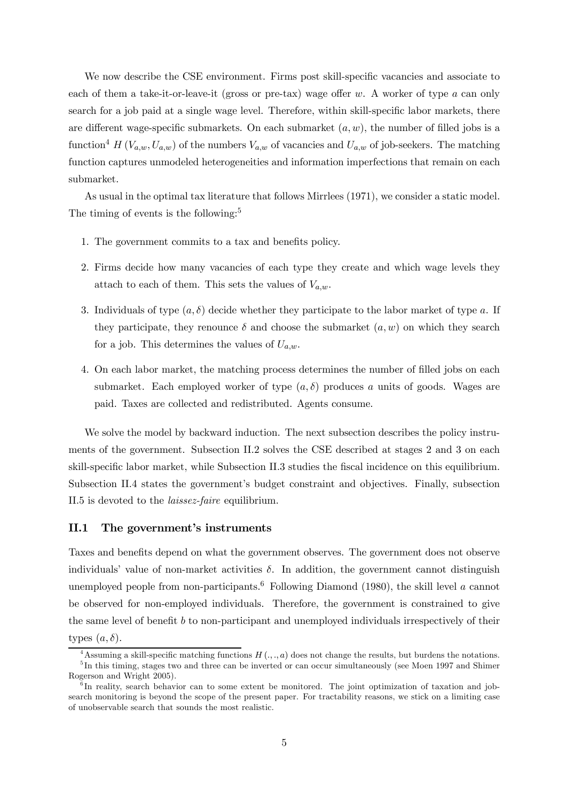We now describe the CSE environment. Firms post skill-specific vacancies and associate to each of them a take-it-or-leave-it (gross or pre-tax) wage offer  $w$ . A worker of type  $a$  can only search for a job paid at a single wage level. Therefore, within skill-specific labor markets, there are different wage-specific submarkets. On each submarket  $(a, w)$ , the number of filled jobs is a function<sup>4</sup> H ( $V_{a,w}, U_{a,w}$ ) of the numbers  $V_{a,w}$  of vacancies and  $U_{a,w}$  of job-seekers. The matching function captures unmodeled heterogeneities and information imperfections that remain on each submarket.

As usual in the optimal tax literature that follows Mirrlees (1971), we consider a static model. The timing of events is the following:<sup>5</sup>

- 1. The government commits to a tax and benefits policy.
- 2. Firms decide how many vacancies of each type they create and which wage levels they attach to each of them. This sets the values of  $V_{a,w}$ .
- 3. Individuals of type  $(a, \delta)$  decide whether they participate to the labor market of type a. If they participate, they renounce  $\delta$  and choose the submarket  $(a, w)$  on which they search for a job. This determines the values of  $U_{a,w}$ .
- 4. On each labor market, the matching process determines the number of filled jobs on each submarket. Each employed worker of type  $(a, \delta)$  produces a units of goods. Wages are paid. Taxes are collected and redistributed. Agents consume.

We solve the model by backward induction. The next subsection describes the policy instruments of the government. Subsection II.2 solves the CSE described at stages 2 and 3 on each skill-specific labor market, while Subsection II.3 studies the fiscal incidence on this equilibrium. Subsection II.4 states the government's budget constraint and objectives. Finally, subsection II.5 is devoted to the laissez-faire equilibrium.

### II.1 The government's instruments

Taxes and benefits depend on what the government observes. The government does not observe individuals' value of non-market activities  $\delta$ . In addition, the government cannot distinguish unemployed people from non-participants.<sup>6</sup> Following Diamond (1980), the skill level a cannot be observed for non-employed individuals. Therefore, the government is constrained to give the same level of benefit b to non-participant and unemployed individuals irrespectively of their types  $(a, \delta)$ .

<sup>&</sup>lt;sup>4</sup>Assuming a skill-specific matching functions  $H(.,.,a)$  does not change the results, but burdens the notations. <sup>5</sup>In this timing, stages two and three can be inverted or can occur simultaneously (see Moen 1997 and Shimer Rogerson and Wright 2005).

 $6$ In reality, search behavior can to some extent be monitored. The joint optimization of taxation and jobsearch monitoring is beyond the scope of the present paper. For tractability reasons, we stick on a limiting case of unobservable search that sounds the most realistic.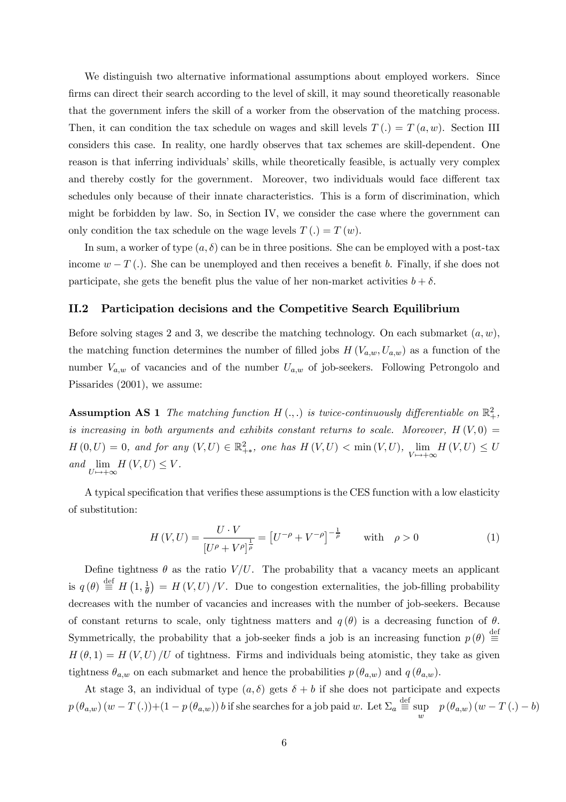We distinguish two alternative informational assumptions about employed workers. Since firms can direct their search according to the level of skill, it may sound theoretically reasonable that the government infers the skill of a worker from the observation of the matching process. Then, it can condition the tax schedule on wages and skill levels  $T(.) = T(a, w)$ . Section III considers this case. In reality, one hardly observes that tax schemes are skill-dependent. One reason is that inferring individuals' skills, while theoretically feasible, is actually very complex and thereby costly for the government. Moreover, two individuals would face different tax schedules only because of their innate characteristics. This is a form of discrimination, which might be forbidden by law. So, in Section IV, we consider the case where the government can only condition the tax schedule on the wage levels  $T(.) = T(w)$ .

In sum, a worker of type  $(a, \delta)$  can be in three positions. She can be employed with a post-tax income  $w - T$  (.). She can be unemployed and then receives a benefit b. Finally, if she does not participate, she gets the benefit plus the value of her non-market activities  $b + \delta$ .

### II.2 Participation decisions and the Competitive Search Equilibrium

Before solving stages 2 and 3, we describe the matching technology. On each submarket  $(a, w)$ , the matching function determines the number of filled jobs  $H(V_{a,w}, U_{a,w})$  as a function of the number  $V_{a,w}$  of vacancies and of the number  $U_{a,w}$  of job-seekers. Following Petrongolo and Pissarides (2001), we assume:

**Assumption AS 1** The matching function  $H(.)$ , is twice-continuously differentiable on  $\mathbb{R}^2_+$ , is increasing in both arguments and exhibits constant returns to scale. Moreover,  $H(V, 0) =$  $H(0,U) = 0$ , and for any  $(V,U) \in \mathbb{R}^2_{+\ast}$ , one has  $H(V,U) < \min(V,U)$ ,  $\lim_{V \mapsto +\infty} H(V,U) \leq U$ and  $\lim_{U \mapsto +\infty} H(V, U) \leq V$ .

A typical specification that verifies these assumptions is the CES function with a low elasticity of substitution:

$$
H(V,U) = \frac{U \cdot V}{\left[U^{\rho} + V^{\rho}\right]^{\frac{1}{\rho}}} = \left[U^{-\rho} + V^{-\rho}\right]^{-\frac{1}{\rho}} \quad \text{with} \quad \rho > 0 \tag{1}
$$

Define tightness  $\theta$  as the ratio  $V/U$ . The probability that a vacancy meets an applicant is  $q(\theta) \stackrel{\text{def}}{=} H(1, \frac{1}{\theta}) = H(V, U)/V$ . Due to congestion externalities, the job-filling probability decreases with the number of vacancies and increases with the number of job-seekers. Because of constant returns to scale, only tightness matters and  $q(\theta)$  is a decreasing function of  $\theta$ . Symmetrically, the probability that a job-seeker finds a job is an increasing function  $p(\theta) \stackrel{\text{def}}{=}$  $H(\theta, 1) = H(V, U)/U$  of tightness. Firms and individuals being atomistic, they take as given tightness  $\theta_{a,w}$  on each submarket and hence the probabilities  $p(\theta_{a,w})$  and  $q(\theta_{a,w})$ .

At stage 3, an individual of type  $(a, \delta)$  gets  $\delta + b$  if she does not participate and expects  $p(\theta_{a,w})(w-T(.))+(1-p(\theta_{a,w}))b$  if she searches for a job paid w. Let  $\Sigma_a \stackrel{\text{def}}{=} \sup_w p(\theta_{a,w})(w-T(.)-b)$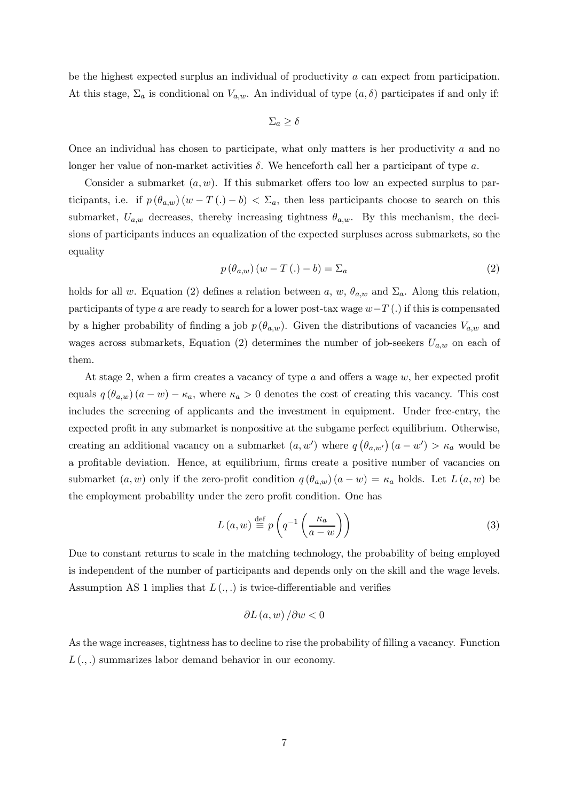be the highest expected surplus an individual of productivity a can expect from participation. At this stage,  $\Sigma_a$  is conditional on  $V_{a,w}$ . An individual of type  $(a, \delta)$  participates if and only if:

$$
\Sigma_a \ge \delta
$$

Once an individual has chosen to participate, what only matters is her productivity  $a$  and no longer her value of non-market activities  $\delta$ . We henceforth call her a participant of type a.

Consider a submarket  $(a, w)$ . If this submarket offers too low an expected surplus to participants, i.e. if  $p(\theta_{a,w})(w-T(.)-b) < \Sigma_a$ , then less participants choose to search on this submarket,  $U_{a,w}$  decreases, thereby increasing tightness  $\theta_{a,w}$ . By this mechanism, the decisions of participants induces an equalization of the expected surpluses across submarkets, so the equality

$$
p\left(\theta_{a,w}\right)\left(w-T\left(\cdot\right)-b\right)=\Sigma_a\tag{2}
$$

holds for all w. Equation (2) defines a relation between a, w,  $\theta_{a,w}$  and  $\Sigma_a$ . Along this relation, participants of type a are ready to search for a lower post-tax wage w−T (.) if this is compensated by a higher probability of finding a job  $p(\theta_{a,w})$ . Given the distributions of vacancies  $V_{a,w}$  and wages across submarkets, Equation (2) determines the number of job-seekers  $U_{a,w}$  on each of them.

At stage 2, when a firm creates a vacancy of type a and offers a wage w, her expected profit equals  $q(\theta_{a,w})(a-w)-\kappa_a$ , where  $\kappa_a>0$  denotes the cost of creating this vacancy. This cost includes the screening of applicants and the investment in equipment. Under free-entry, the expected profit in any submarket is nonpositive at the subgame perfect equilibrium. Otherwise, creating an additional vacancy on a submarket  $(a, w')$  where  $q(\theta_{a,w'})$   $(a - w') > \kappa_a$  would be a profitable deviation. Hence, at equilibrium, firms create a positive number of vacancies on submarket  $(a, w)$  only if the zero-profit condition  $q(\theta_{a,w})(a-w) = \kappa_a$  holds. Let  $L(a, w)$  be the employment probability under the zero profit condition. One has

$$
L(a, w) \stackrel{\text{def}}{=} p \left( q^{-1} \left( \frac{\kappa_a}{a - w} \right) \right)
$$
 (3)

Due to constant returns to scale in the matching technology, the probability of being employed is independent of the number of participants and depends only on the skill and the wage levels. Assumption AS 1 implies that  $L(.,.)$  is twice-differentiable and verifies

$$
\partial L(a, w) / \partial w < 0
$$

As the wage increases, tightness has to decline to rise the probability of filling a vacancy. Function  $L(.,.)$  summarizes labor demand behavior in our economy.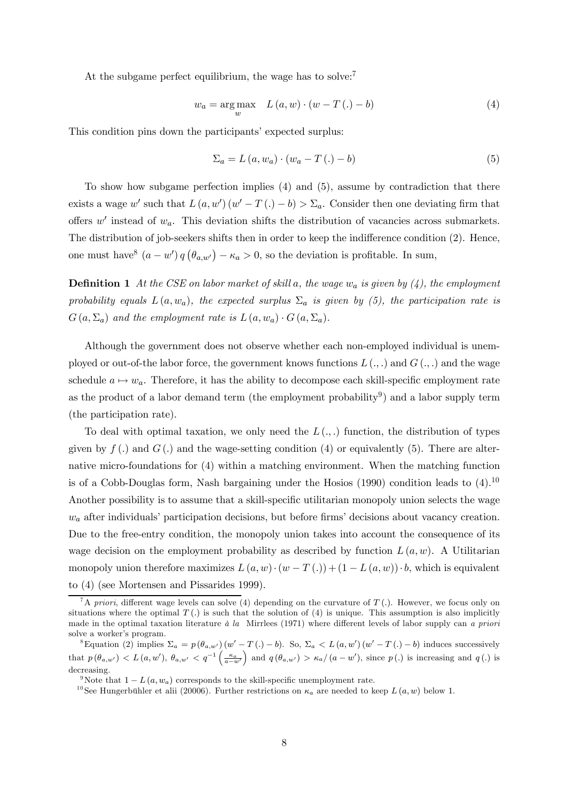At the subgame perfect equilibrium, the wage has to solve:<sup>7</sup>

$$
w_a = \underset{w}{\text{arg max}} \quad L(a, w) \cdot (w - T(.) - b) \tag{4}
$$

This condition pins down the participants' expected surplus:

$$
\Sigma_a = L(a, w_a) \cdot (w_a - T(.) - b) \tag{5}
$$

To show how subgame perfection implies (4) and (5), assume by contradiction that there exists a wage w' such that  $L(a, w')(w' - T(.) - b) > \Sigma_a$ . Consider then one deviating firm that offers  $w'$  instead of  $w_a$ . This deviation shifts the distribution of vacancies across submarkets. The distribution of job-seekers shifts then in order to keep the indifference condition (2). Hence, one must have<sup>8</sup>  $(a - w') q (\theta_{a,w'}) - \kappa_a > 0$ , so the deviation is profitable. In sum,

**Definition 1** At the CSE on labor market of skill a, the wage  $w_a$  is given by (4), the employment probability equals  $L(a, w_a)$ , the expected surplus  $\Sigma_a$  is given by (5), the participation rate is  $G(a,\Sigma_a)$  and the employment rate is  $L(a,w_a)\cdot G(a,\Sigma_a)$ .

Although the government does not observe whether each non-employed individual is unemployed or out-of-the labor force, the government knows functions  $L(.,.)$  and  $G(.,.)$  and the wage schedule  $a \mapsto w_a$ . Therefore, it has the ability to decompose each skill-specific employment rate as the product of a labor demand term (the employment probability<sup>9</sup>) and a labor supply term (the participation rate).

To deal with optimal taxation, we only need the  $L(.,.)$  function, the distribution of types given by  $f(.)$  and  $G(.)$  and the wage-setting condition (4) or equivalently (5). There are alternative micro-foundations for (4) within a matching environment. When the matching function is of a Cobb-Douglas form, Nash bargaining under the Hosios  $(1990)$  condition leads to  $(4).^{10}$ Another possibility is to assume that a skill-specific utilitarian monopoly union selects the wage  $w_a$  after individuals' participation decisions, but before firms' decisions about vacancy creation. Due to the free-entry condition, the monopoly union takes into account the consequence of its wage decision on the employment probability as described by function  $L(a, w)$ . A Utilitarian monopoly union therefore maximizes  $L(a, w) \cdot (w - T(.)) + (1 - L(a, w)) \cdot b$ , which is equivalent to (4) (see Mortensen and Pissarides 1999).

<sup>&</sup>lt;sup>7</sup>A priori, different wage levels can solve (4) depending on the curvature of  $T$  (.). However, we focus only on situations where the optimal  $T(.)$  is such that the solution of (4) is unique. This assumption is also implicitly made in the optimal taxation literature à la Mirrlees (1971) where different levels of labor supply can a priori solve a worker's program.

<sup>&</sup>lt;sup>8</sup>Equation (2) implies  $\Sigma_a = p(\theta_{a,w'}) (w'-T(.)-b)$ . So,  $\Sigma_a < L(a,w') (w'-T(.)-b)$  induces successively that  $p(\theta_{a,w'}) < L(a,w'), \theta_{a,w'} < q^{-1} \left( \frac{\kappa_a}{a-a} \right)$  $a-w'$ ) and  $q(\theta_{a,w'}) > \kappa_a/(a-w')$ , since  $p(.)$  is increasing and  $q(.)$  is decreasing.

<sup>&</sup>lt;sup>9</sup>Note that  $1 - L(a, w_a)$  corresponds to the skill-specific unemployment rate.<br><sup>10</sup>See Hungerbühler et alii (20006). Further restrictions on  $\kappa_a$  are needed to keep  $L(a, w)$  below 1.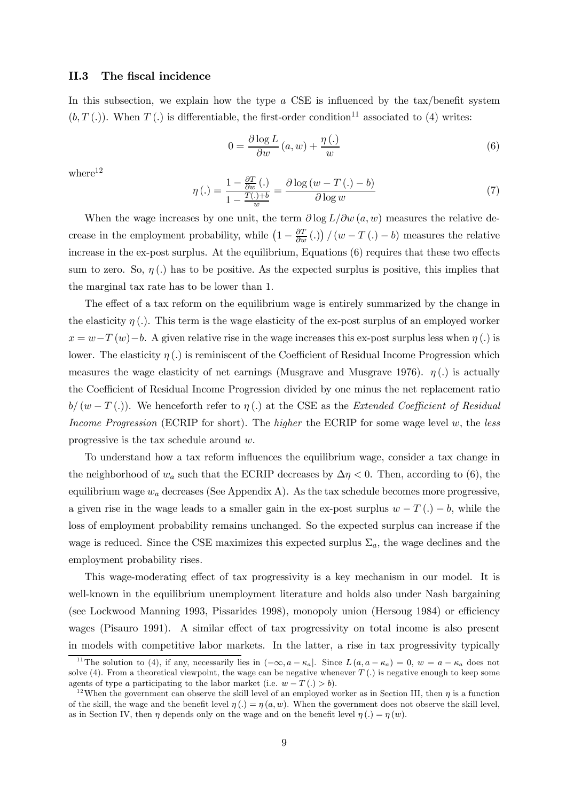#### II.3 The fiscal incidence

In this subsection, we explain how the type  $a$  CSE is influenced by the tax/benefit system  $(b, T).$  When  $T(.)$  is differentiable, the first-order condition<sup>11</sup> associated to (4) writes:

$$
0 = \frac{\partial \log L}{\partial w} (a, w) + \frac{\eta (.)}{w}
$$
 (6)

 $where<sup>12</sup>$ 

$$
\eta\left(.) = \frac{1 - \frac{\partial T}{\partial w}\left(.)}{1 - \frac{T(.) + b}{w}} = \frac{\partial \log(w - T\left(. \right) - b)}{\partial \log w} \tag{7}
$$

When the wage increases by one unit, the term  $\partial \log L/\partial w(a, w)$  measures the relative decrease in the employment probability, while  $(1 - \frac{\partial T}{\partial w} \cdot )/ (w - T \cdot ) - b)$  measures the relative increase in the ex-post surplus. At the equilibrium, Equations (6) requires that these two effects sum to zero. So,  $\eta(.)$  has to be positive. As the expected surplus is positive, this implies that the marginal tax rate has to be lower than 1.

The effect of a tax reform on the equilibrium wage is entirely summarized by the change in the elasticity  $\eta$  (.). This term is the wage elasticity of the ex-post surplus of an employed worker  $x = w - T(w) - b$ . A given relative rise in the wage increases this ex-post surplus less when  $\eta(.)$  is lower. The elasticity  $\eta$  (.) is reminiscent of the Coefficient of Residual Income Progression which measures the wage elasticity of net earnings (Musgrave and Musgrave 1976).  $\eta(.)$  is actually the Coefficient of Residual Income Progression divided by one minus the net replacement ratio  $b/(w-T(.))$ . We henceforth refer to  $\eta(.)$  at the CSE as the *Extended Coefficient of Residual* Income Progression (ECRIP for short). The higher the ECRIP for some wage level  $w$ , the less progressive is the tax schedule around w.

To understand how a tax reform influences the equilibrium wage, consider a tax change in the neighborhood of  $w_a$  such that the ECRIP decreases by  $\Delta \eta < 0$ . Then, according to (6), the equilibrium wage  $w_a$  decreases (See Appendix A). As the tax schedule becomes more progressive, a given rise in the wage leads to a smaller gain in the ex-post surplus  $w - T(.) - b$ , while the loss of employment probability remains unchanged. So the expected surplus can increase if the wage is reduced. Since the CSE maximizes this expected surplus  $\Sigma_a$ , the wage declines and the employment probability rises.

This wage-moderating effect of tax progressivity is a key mechanism in our model. It is well-known in the equilibrium unemployment literature and holds also under Nash bargaining (see Lockwood Manning 1993, Pissarides 1998), monopoly union (Hersoug 1984) or efficiency wages (Pisauro 1991). A similar effect of tax progressivity on total income is also present in models with competitive labor markets. In the latter, a rise in tax progressivity typically

<sup>&</sup>lt;sup>11</sup>The solution to (4), if any, necessarily lies in  $(-\infty, a - \kappa_a]$ . Since  $L(a, a - \kappa_a) = 0$ ,  $w = a - \kappa_a$  does not solve  $(4)$ . From a theoretical viewpoint, the wage can be negative whenever  $T(.)$  is negative enough to keep some agents of type a participating to the labor market (i.e.  $w - T(.) > b$ ).<br><sup>12</sup>When the government can observe the skill level of an employed worker as in Section III, then  $\eta$  is a function

of the skill, the wage and the benefit level  $\eta(.) = \eta(a, w)$ . When the government does not observe the skill level, as in Section IV, then  $\eta$  depends only on the wage and on the benefit level  $\eta(.) = \eta(w)$ .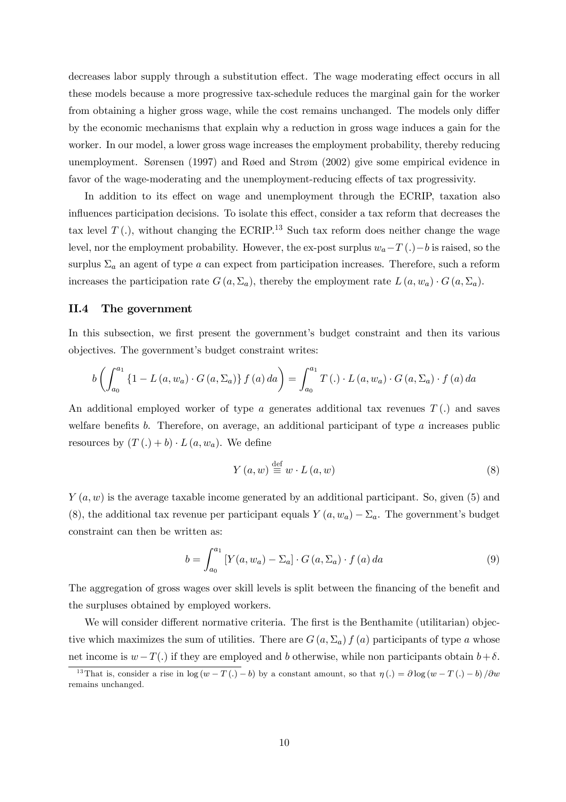decreases labor supply through a substitution effect. The wage moderating effect occurs in all these models because a more progressive tax-schedule reduces the marginal gain for the worker from obtaining a higher gross wage, while the cost remains unchanged. The models only differ by the economic mechanisms that explain why a reduction in gross wage induces a gain for the worker. In our model, a lower gross wage increases the employment probability, thereby reducing unemployment. Sørensen (1997) and Røed and Strøm (2002) give some empirical evidence in favor of the wage-moderating and the unemployment-reducing effects of tax progressivity.

In addition to its effect on wage and unemployment through the ECRIP, taxation also influences participation decisions. To isolate this effect, consider a tax reform that decreases the tax level  $T(.)$ , without changing the ECRIP.<sup>13</sup> Such tax reform does neither change the wage level, nor the employment probability. However, the ex-post surplus  $w_a-T(.)-b$  is raised, so the surplus  $\Sigma_a$  an agent of type a can expect from participation increases. Therefore, such a reform increases the participation rate  $G(a, \Sigma_a)$ , thereby the employment rate  $L(a, w_a) \cdot G(a, \Sigma_a)$ .

### II.4 The government

In this subsection, we first present the government's budget constraint and then its various objectives. The government's budget constraint writes:

$$
b\left(\int_{a_0}^{a_1} \{1 - L(a, w_a) \cdot G(a, \Sigma_a)\} f(a) \, da\right) = \int_{a_0}^{a_1} T(\cdot) \cdot L(a, w_a) \cdot G(a, \Sigma_a) \cdot f(a) \, da
$$

An additional employed worker of type a generates additional tax revenues  $T(.)$  and saves welfare benefits  $b$ . Therefore, on average, an additional participant of type  $a$  increases public resources by  $(T(.) + b) \cdot L(a, w_a)$ . We define

$$
Y\left(a,w\right) \stackrel{\text{def}}{=} w \cdot L\left(a,w\right) \tag{8}
$$

 $Y(a, w)$  is the average taxable income generated by an additional participant. So, given (5) and (8), the additional tax revenue per participant equals  $Y(a, w_a) - \Sigma_a$ . The government's budget constraint can then be written as:

$$
b = \int_{a_0}^{a_1} \left[ Y(a, w_a) - \Sigma_a \right] \cdot G(a, \Sigma_a) \cdot f(a) \, da \tag{9}
$$

The aggregation of gross wages over skill levels is split between the financing of the benefit and the surpluses obtained by employed workers.

We will consider different normative criteria. The first is the Benthamite (utilitarian) objective which maximizes the sum of utilities. There are  $G(a, \Sigma_a) f(a)$  participants of type a whose net income is  $w - T(.)$  if they are employed and b otherwise, while non participants obtain  $b + \delta$ .

<sup>&</sup>lt;sup>13</sup>That is, consider a rise in log  $(w - T(.) - b)$  by a constant amount, so that  $\eta(.) = \partial \log (w - T(.) - b) / \partial w$ remains unchanged.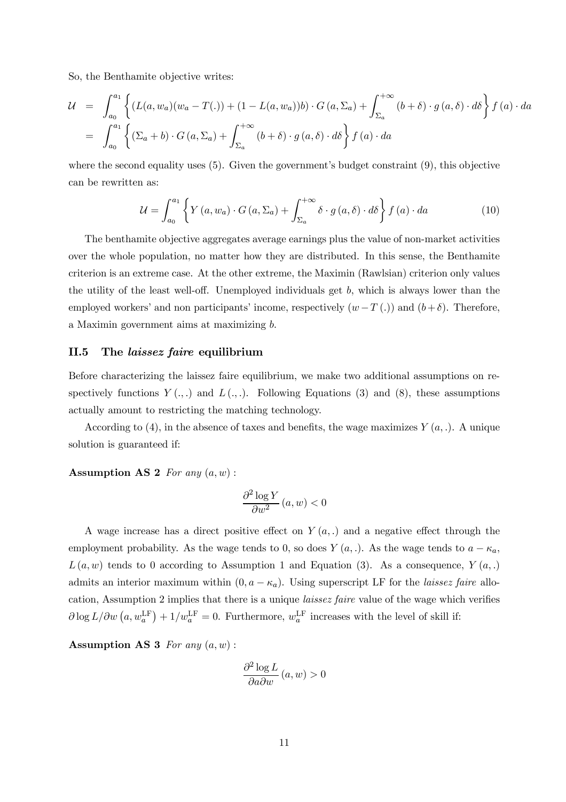So, the Benthamite objective writes:

$$
\mathcal{U} = \int_{a_0}^{a_1} \left\{ (L(a, w_a)(w_a - T(.)) + (1 - L(a, w_a))b) \cdot G(a, \Sigma_a) + \int_{\Sigma_a}^{+\infty} (b + \delta) \cdot g(a, \delta) \cdot d\delta \right\} f(a) \cdot da
$$
  

$$
= \int_{a_0}^{a_1} \left\{ (\Sigma_a + b) \cdot G(a, \Sigma_a) + \int_{\Sigma_a}^{+\infty} (b + \delta) \cdot g(a, \delta) \cdot d\delta \right\} f(a) \cdot da
$$

where the second equality uses  $(5)$ . Given the government's budget constraint  $(9)$ , this objective can be rewritten as:

$$
\mathcal{U} = \int_{a_0}^{a_1} \left\{ Y\left(a, w_a\right) \cdot G\left(a, \Sigma_a\right) + \int_{\Sigma_a}^{+\infty} \delta \cdot g\left(a, \delta\right) \cdot d\delta \right\} f\left(a\right) \cdot da \tag{10}
$$

The benthamite objective aggregates average earnings plus the value of non-market activities over the whole population, no matter how they are distributed. In this sense, the Benthamite criterion is an extreme case. At the other extreme, the Maximin (Rawlsian) criterion only values the utility of the least well-off. Unemployed individuals get  $b$ , which is always lower than the employed workers' and non participants' income, respectively  $(w - T)$ ) and  $(b + \delta)$ . Therefore, a Maximin government aims at maximizing b.

### II.5 The laissez faire equilibrium

Before characterizing the laissez faire equilibrium, we make two additional assumptions on respectively functions  $Y(\cdot, \cdot)$  and  $L(\cdot, \cdot)$ . Following Equations (3) and (8), these assumptions actually amount to restricting the matching technology.

According to (4), in the absence of taxes and benefits, the wage maximizes  $Y(a, .)$ . A unique solution is guaranteed if:

### Assumption AS 2 For any  $(a, w)$ :

$$
\frac{\partial^2 \log Y}{\partial w^2} (a, w) < 0
$$

A wage increase has a direct positive effect on  $Y(a,.)$  and a negative effect through the employment probability. As the wage tends to 0, so does  $Y(a,.)$ . As the wage tends to  $a - \kappa_a$ ,  $L(a, w)$  tends to 0 according to Assumption 1 and Equation (3). As a consequence,  $Y(a,.)$ admits an interior maximum within  $(0, a - \kappa_a)$ . Using superscript LF for the *laissez faire* allocation, Assumption 2 implies that there is a unique laissez faire value of the wage which verifies  $\partial \log L / \partial w \left( a, w_a^{\text{LF}} \right) + 1/w_a^{\text{LF}} = 0$ . Furthermore,  $w_a^{\text{LF}}$  increases with the level of skill if:

Assumption AS 3 For any  $(a, w)$ :

$$
\frac{\partial^2 \log L}{\partial a \partial w} (a, w) > 0
$$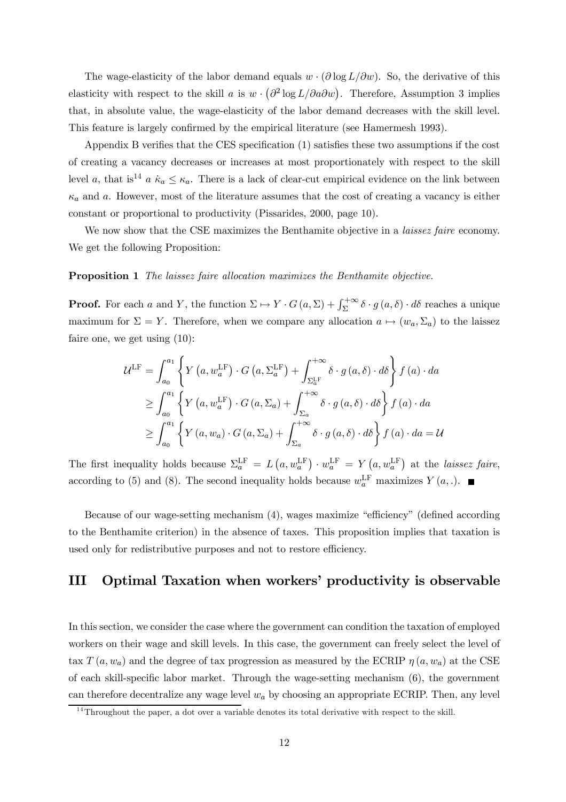The wage-elasticity of the labor demand equals  $w \cdot (\partial \log L/\partial w)$ . So, the derivative of this elasticity with respect to the skill a is  $w \cdot (\partial^2 \log L / \partial a \partial w)$ . Therefore, Assumption 3 implies that, in absolute value, the wage-elasticity of the labor demand decreases with the skill level. This feature is largely confirmed by the empirical literature (see Hamermesh 1993).

Appendix B verifies that the CES specification (1) satisfies these two assumptions if the cost of creating a vacancy decreases or increases at most proportionately with respect to the skill level a, that is<sup>14</sup> a  $\kappa_a \leq \kappa_a$ . There is a lack of clear-cut empirical evidence on the link between  $\kappa_a$  and a. However, most of the literature assumes that the cost of creating a vacancy is either constant or proportional to productivity (Pissarides, 2000, page 10).

We now show that the CSE maximizes the Benthamite objective in a *laissez faire* economy. We get the following Proposition:

### Proposition 1 The laissez faire allocation maximizes the Benthamite objective.

**Proof.** For each a and Y, the function  $\Sigma \mapsto Y \cdot G(a, \Sigma) + \int_{\Sigma}^{+\infty} \delta \cdot g(a, \delta) \cdot d\delta$  reaches a unique maximum for  $\Sigma = Y$ . Therefore, when we compare any allocation  $a \mapsto (w_a, \Sigma_a)$  to the laissez faire one, we get using (10):

$$
\mathcal{U}^{\text{LF}} = \int_{a_0}^{a_1} \left\{ Y\left(a, w_a^{\text{LF}}\right) \cdot G\left(a, \Sigma_a^{\text{LF}}\right) + \int_{\Sigma_a^{\text{LF}}}^{+\infty} \delta \cdot g\left(a, \delta\right) \cdot d\delta \right\} f\left(a\right) \cdot da
$$
  
\n
$$
\geq \int_{a_0}^{a_1} \left\{ Y\left(a, w_a^{\text{LF}}\right) \cdot G\left(a, \Sigma_a\right) + \int_{\Sigma_a}^{+\infty} \delta \cdot g\left(a, \delta\right) \cdot d\delta \right\} f\left(a\right) \cdot da
$$
  
\n
$$
\geq \int_{a_0}^{a_1} \left\{ Y\left(a, w_a\right) \cdot G\left(a, \Sigma_a\right) + \int_{\Sigma_a}^{+\infty} \delta \cdot g\left(a, \delta\right) \cdot d\delta \right\} f\left(a\right) \cdot da = \mathcal{U}
$$

The first inequality holds because  $\Sigma_a^{\text{LF}} = L(a, w_a^{\text{LF}}) \cdot w_a^{\text{LF}} = Y(a, w_a^{\text{LF}})$  at the laissez faire, according to (5) and (8). The second inequality holds because  $w_a^{\text{LF}}$  maximizes  $Y(a,.)$ .

Because of our wage-setting mechanism (4), wages maximize "efficiency" (defined according to the Benthamite criterion) in the absence of taxes. This proposition implies that taxation is used only for redistributive purposes and not to restore efficiency.

# III Optimal Taxation when workers' productivity is observable

In this section, we consider the case where the government can condition the taxation of employed workers on their wage and skill levels. In this case, the government can freely select the level of tax  $T(a, w_a)$  and the degree of tax progression as measured by the ECRIP  $\eta(a, w_a)$  at the CSE of each skill-specific labor market. Through the wage-setting mechanism (6), the government can therefore decentralize any wage level  $w_a$  by choosing an appropriate ECRIP. Then, any level

 $\frac{14}{14}$ Throughout the paper, a dot over a variable denotes its total derivative with respect to the skill.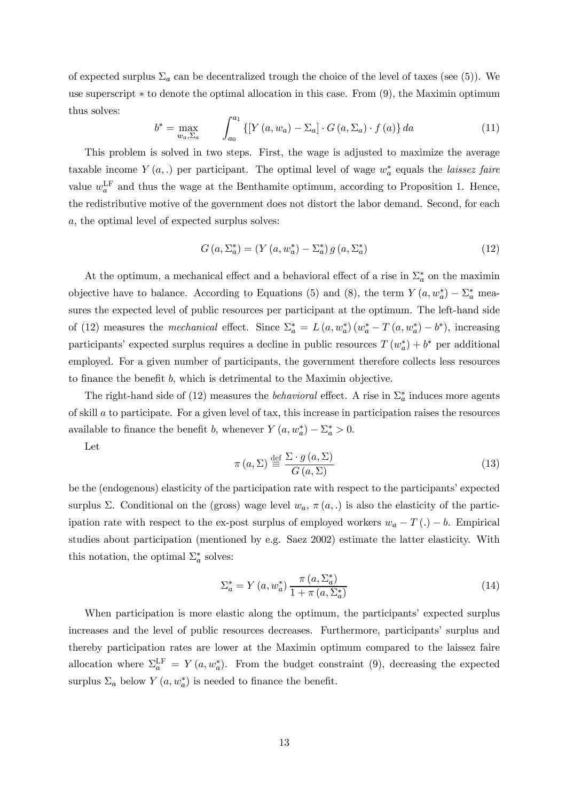of expected surplus  $\Sigma_a$  can be decentralized trough the choice of the level of taxes (see (5)). We use superscript  $*$  to denote the optimal allocation in this case. From (9), the Maximin optimum thus solves:

$$
b^* = \max_{w_a, \Sigma_a} \qquad \int_{a_0}^{a_1} \left\{ \left[ Y \left( a, w_a \right) - \Sigma_a \right] \cdot G \left( a, \Sigma_a \right) \cdot f \left( a \right) \right\} da \tag{11}
$$

This problem is solved in two steps. First, the wage is adjusted to maximize the average taxable income  $Y(a,.)$  per participant. The optimal level of wage  $w_a^*$  equals the *laissez faire* value  $w_a^{\text{LF}}$  and thus the wage at the Benthamite optimum, according to Proposition 1. Hence, the redistributive motive of the government does not distort the labor demand. Second, for each a, the optimal level of expected surplus solves:

$$
G\left(a,\Sigma_a^*\right) = \left(Y\left(a,w_a^*\right) - \Sigma_a^*\right)g\left(a,\Sigma_a^*\right) \tag{12}
$$

At the optimum, a mechanical effect and a behavioral effect of a rise in  $\Sigma_a^*$  on the maximin objective have to balance. According to Equations (5) and (8), the term  $Y(a, w_a^*) - \Sigma_a^*$  measures the expected level of public resources per participant at the optimum. The left-hand side of (12) measures the *mechanical* effect. Since  $\Sigma_a^* = L(a, w_a^*) (w_a^* - T(a, w_a^*) - b^*)$ , increasing participants' expected surplus requires a decline in public resources  $T(w_a^*) + b^*$  per additional employed. For a given number of participants, the government therefore collects less resources to finance the benefit b, which is detrimental to the Maximin objective.

The right-hand side of (12) measures the *behavioral* effect. A rise in  $\Sigma_a^*$  induces more agents of skill a to participate. For a given level of tax, this increase in participation raises the resources available to finance the benefit b, whenever  $Y(a, w_a^*) - \Sigma_a^* > 0$ .

Let

$$
\pi(a,\Sigma) \stackrel{\text{def}}{=} \frac{\Sigma \cdot g(a,\Sigma)}{G(a,\Sigma)}\tag{13}
$$

be the (endogenous) elasticity of the participation rate with respect to the participants' expected surplus Σ. Conditional on the (gross) wage level  $w_a$ ,  $\pi(a,.)$  is also the elasticity of the participation rate with respect to the ex-post surplus of employed workers  $w_a - T(.) - b$ . Empirical studies about participation (mentioned by e.g. Saez 2002) estimate the latter elasticity. With this notation, the optimal  $\Sigma_a^*$  solves:

$$
\Sigma_a^* = Y(a, w_a^*) \frac{\pi (a, \Sigma_a^*)}{1 + \pi (a, \Sigma_a^*)}
$$
\n
$$
(14)
$$

When participation is more elastic along the optimum, the participants' expected surplus increases and the level of public resources decreases. Furthermore, participants' surplus and thereby participation rates are lower at the Maximin optimum compared to the laissez faire allocation where  $\Sigma_a^{\text{LF}} = Y(a, w_a^*)$ . From the budget constraint (9), decreasing the expected surplus  $\Sigma_a$  below  $Y(a, w_a^*)$  is needed to finance the benefit.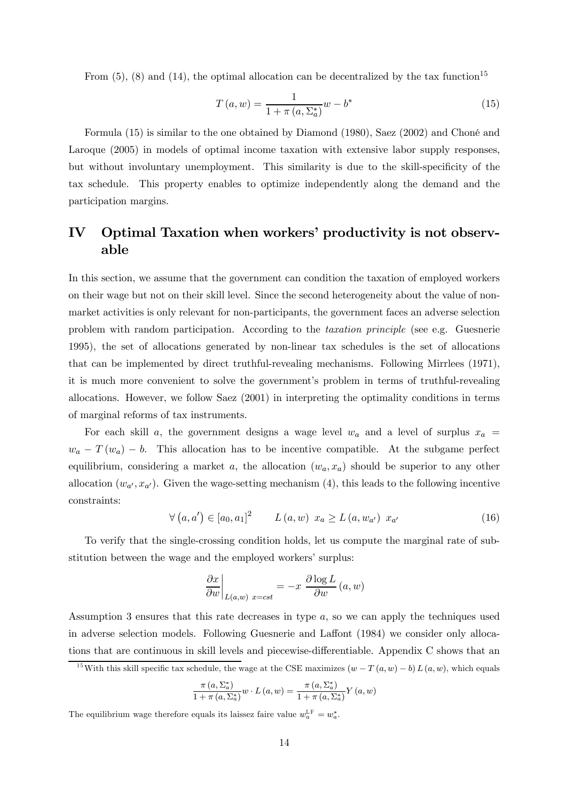From  $(5)$ ,  $(8)$  and  $(14)$ , the optimal allocation can be decentralized by the tax function<sup>15</sup>

$$
T(a, w) = \frac{1}{1 + \pi (a, \Sigma_a^*)} w - b^*
$$
\n(15)

Formula (15) is similar to the one obtained by Diamond (1980), Saez (2002) and Choné and Laroque (2005) in models of optimal income taxation with extensive labor supply responses, but without involuntary unemployment. This similarity is due to the skill-specificity of the tax schedule. This property enables to optimize independently along the demand and the participation margins.

# IV Optimal Taxation when workers' productivity is not observable

In this section, we assume that the government can condition the taxation of employed workers on their wage but not on their skill level. Since the second heterogeneity about the value of nonmarket activities is only relevant for non-participants, the government faces an adverse selection problem with random participation. According to the taxation principle (see e.g. Guesnerie 1995), the set of allocations generated by non-linear tax schedules is the set of allocations that can be implemented by direct truthful-revealing mechanisms. Following Mirrlees (1971), it is much more convenient to solve the government's problem in terms of truthful-revealing allocations. However, we follow Saez (2001) in interpreting the optimality conditions in terms of marginal reforms of tax instruments.

For each skill a, the government designs a wage level  $w_a$  and a level of surplus  $x_a$  =  $w_a - T(w_a) - b$ . This allocation has to be incentive compatible. At the subgame perfect equilibrium, considering a market a, the allocation  $(w_a, x_a)$  should be superior to any other allocation  $(w_{a'}, x_{a'})$ . Given the wage-setting mechanism (4), this leads to the following incentive constraints:

$$
\forall (a, a') \in [a_0, a_1]^2 \qquad L(a, w) \ x_a \ge L(a, w_{a'}) \ x_{a'}
$$
 (16)

To verify that the single-crossing condition holds, let us compute the marginal rate of substitution between the wage and the employed workers' surplus:

$$
\left. \frac{\partial x}{\partial w} \right|_{L(a,w) \ x = cst} = -x \frac{\partial \log L}{\partial w} (a, w)
$$

Assumption 3 ensures that this rate decreases in type a, so we can apply the techniques used in adverse selection models. Following Guesnerie and Laffont (1984) we consider only allocations that are continuous in skill levels and piecewise-differentiable. Appendix C shows that an

$$
\frac{\pi (a, \Sigma_a^*)}{1 + \pi (a, \Sigma_a^*)} w \cdot L(a, w) = \frac{\pi (a, \Sigma_a^*)}{1 + \pi (a, \Sigma_a^*)} Y(a, w)
$$

The equilibrium wage therefore equals its laissez faire value  $w_a^{\text{LF}} = w_a^*$ .

<sup>&</sup>lt;sup>15</sup>With this skill specific tax schedule, the wage at the CSE maximizes  $(w - T(a, w) - b) L(a, w)$ , which equals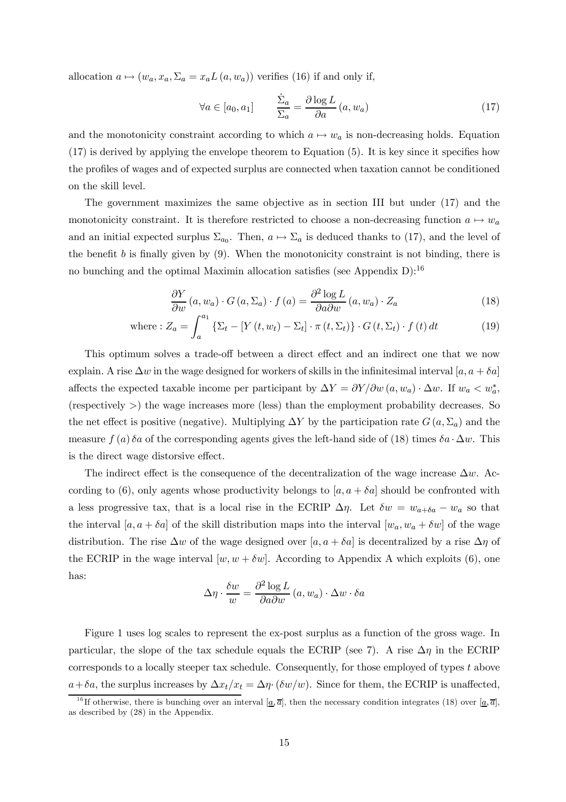allocation  $a \mapsto (w_a, x_a, \Sigma_a = x_a L(a, w_a))$  verifies (16) if and only if,

$$
\forall a \in [a_0, a_1] \qquad \frac{\dot{\Sigma}_a}{\Sigma_a} = \frac{\partial \log L}{\partial a} (a, w_a)
$$
 (17)

and the monotonicity constraint according to which  $a \mapsto w_a$  is non-decreasing holds. Equation (17) is derived by applying the envelope theorem to Equation (5). It is key since it specifies how the profiles of wages and of expected surplus are connected when taxation cannot be conditioned on the skill level.

The government maximizes the same objective as in section III but under (17) and the monotonicity constraint. It is therefore restricted to choose a non-decreasing function  $a \mapsto w_a$ and an initial expected surplus  $\Sigma_{a_0}$ . Then,  $a \mapsto \Sigma_a$  is deduced thanks to (17), and the level of the benefit  $b$  is finally given by  $(9)$ . When the monotonicity constraint is not binding, there is no bunching and the optimal Maximin allocation satisfies (see Appendix D):<sup>16</sup>

$$
\frac{\partial Y}{\partial w}(a, w_a) \cdot G(a, \Sigma_a) \cdot f(a) = \frac{\partial^2 \log L}{\partial a \partial w}(a, w_a) \cdot Z_a \tag{18}
$$

where: 
$$
Z_a = \int_a^{a_1} \left\{ \Sigma_t - \left[ Y(t, w_t) - \Sigma_t \right] \cdot \pi(t, \Sigma_t) \right\} \cdot G(t, \Sigma_t) \cdot f(t) dt \tag{19}
$$

This optimum solves a trade-off between a direct effect and an indirect one that we now explain. A rise  $\Delta w$  in the wage designed for workers of skills in the infinitesimal interval [a, a +  $\delta a$ ] affects the expected taxable income per participant by  $\Delta Y = \partial Y/\partial w (a, w_a) \cdot \Delta w$ . If  $w_a < w_a^*$ , (respectively >) the wage increases more (less) than the employment probability decreases. So the net effect is positive (negative). Multiplying  $\Delta Y$  by the participation rate  $G(a, \Sigma_a)$  and the measure  $f(a)$  δa of the corresponding agents gives the left-hand side of (18) times δa  $\cdot \Delta w$ . This is the direct wage distorsive effect.

The indirect effect is the consequence of the decentralization of the wage increase  $\Delta w$ . According to (6), only agents whose productivity belongs to  $[a, a + \delta a]$  should be confronted with a less progressive tax, that is a local rise in the ECRIP  $\Delta \eta$ . Let  $\delta w = w_{a+\delta a} - w_a$  so that the interval  $[a, a + \delta a]$  of the skill distribution maps into the interval  $[w_a, w_a + \delta w]$  of the wage distribution. The rise  $\Delta w$  of the wage designed over [a, a +  $\delta a$ ] is decentralized by a rise  $\Delta \eta$  of the ECRIP in the wage interval  $[w, w + \delta w]$ . According to Appendix A which exploits (6), one has:

$$
\Delta \eta \cdot \frac{\delta w}{w} = \frac{\partial^2 \log L}{\partial a \partial w} (a, w_a) \cdot \Delta w \cdot \delta a
$$

Figure 1 uses log scales to represent the ex-post surplus as a function of the gross wage. In particular, the slope of the tax schedule equals the ECRIP (see 7). A rise  $\Delta \eta$  in the ECRIP corresponds to a locally steeper tax schedule. Consequently, for those employed of types t above  $a+\delta a$ , the surplus increases by  $\Delta x_t/x_t = \Delta \eta \cdot (\delta w/w)$ . Since for them, the ECRIP is unaffected,

<sup>&</sup>lt;sup>16</sup>If otherwise, there is bunching over an interval  $[\underline{a}, \overline{a}]$ , then the necessary condition integrates (18) over  $[\underline{a}, \overline{a}]$ , as described by (28) in the Appendix.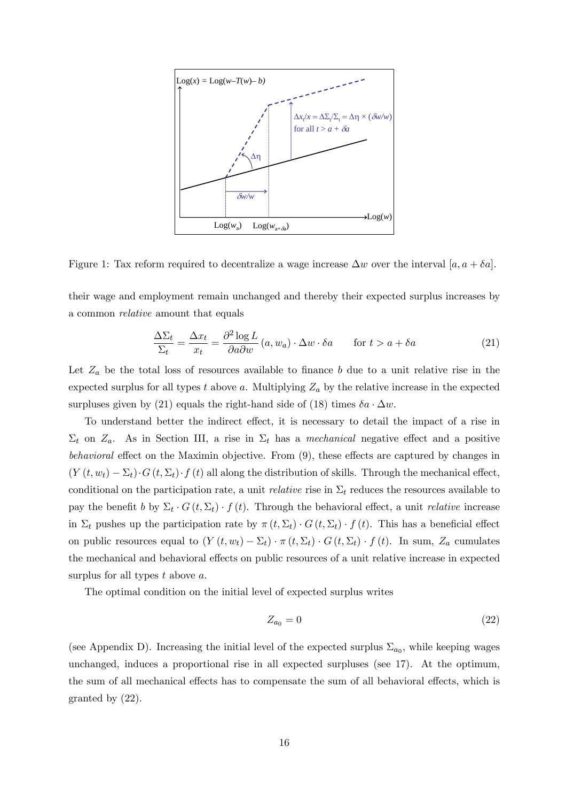

Figure 1: Tax reform required to decentralize a wage increase  $\Delta w$  over the interval [a, a +  $\delta a$ ].

their wage and employment remain unchanged and thereby their expected surplus increases by a common relative amount that equals

$$
\frac{\Delta \Sigma_t}{\Sigma_t} = \frac{\Delta x_t}{x_t} = \frac{\partial^2 \log L}{\partial a \partial w} (a, w_a) \cdot \Delta w \cdot \delta a \qquad \text{for } t > a + \delta a \tag{21}
$$

Let  $Z_a$  be the total loss of resources available to finance b due to a unit relative rise in the expected surplus for all types t above a. Multiplying  $Z_a$  by the relative increase in the expected surpluses given by (21) equals the right-hand side of (18) times  $\delta a \cdot \Delta w$ .

To understand better the indirect effect, it is necessary to detail the impact of a rise in  $\Sigma_t$  on  $Z_a$ . As in Section III, a rise in  $\Sigma_t$  has a *mechanical* negative effect and a positive behavioral effect on the Maximin objective. From (9), these effects are captured by changes in  $(Y(t, w_t) - \Sigma_t) \cdot G(t, \Sigma_t) \cdot f(t)$  all along the distribution of skills. Through the mechanical effect, conditional on the participation rate, a unit *relative* rise in  $\Sigma_t$  reduces the resources available to pay the benefit b by  $\Sigma_t \cdot G(t, \Sigma_t) \cdot f(t)$ . Through the behavioral effect, a unit *relative* increase in  $\Sigma_t$  pushes up the participation rate by  $\pi(t, \Sigma_t) \cdot G(t, \Sigma_t) \cdot f(t)$ . This has a beneficial effect on public resources equal to  $(Y(t, w_t) - \Sigma_t) \cdot \pi(t, \Sigma_t) \cdot G(t, \Sigma_t) \cdot f(t)$ . In sum,  $Z_a$  cumulates the mechanical and behavioral effects on public resources of a unit relative increase in expected surplus for all types  $t$  above  $a$ .

The optimal condition on the initial level of expected surplus writes

$$
Z_{a_0} = 0 \tag{22}
$$

(see Appendix D). Increasing the initial level of the expected surplus  $\Sigma_{a_0}$ , while keeping wages unchanged, induces a proportional rise in all expected surpluses (see 17). At the optimum, the sum of all mechanical effects has to compensate the sum of all behavioral effects, which is granted by (22).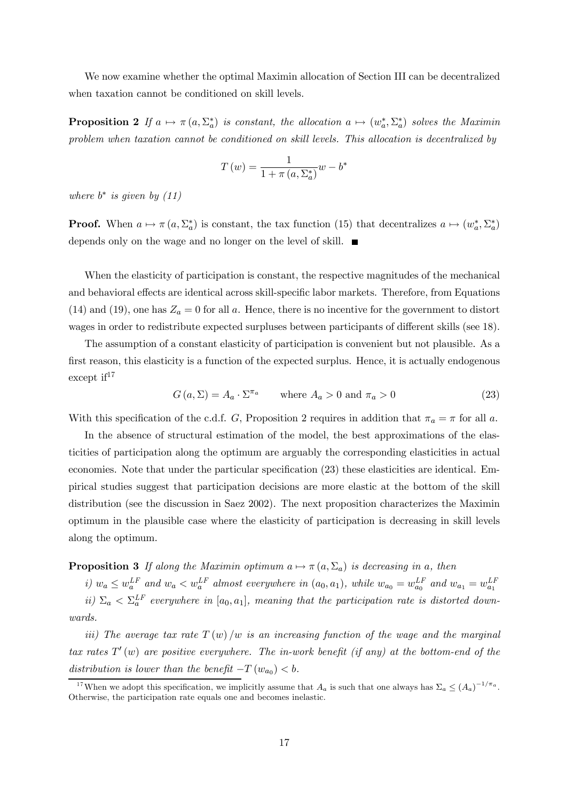We now examine whether the optimal Maximin allocation of Section III can be decentralized when taxation cannot be conditioned on skill levels.

**Proposition 2** If  $a \mapsto \pi(a, \Sigma^*_a)$  is constant, the allocation  $a \mapsto (w^*_a, \Sigma^*_a)$  solves the Maximin problem when taxation cannot be conditioned on skill levels. This allocation is decentralized by

$$
T(w) = \frac{1}{1 + \pi(a, \Sigma_a^*)} w - b^*
$$

where  $b^*$  is given by  $(11)$ 

**Proof.** When  $a \mapsto \pi (a, \Sigma_a^*)$  is constant, the tax function (15) that decentralizes  $a \mapsto (w_a^*, \Sigma_a^*)$ depends only on the wage and no longer on the level of skill.

When the elasticity of participation is constant, the respective magnitudes of the mechanical and behavioral effects are identical across skill-specific labor markets. Therefore, from Equations (14) and (19), one has  $Z_a = 0$  for all a. Hence, there is no incentive for the government to distort wages in order to redistribute expected surpluses between participants of different skills (see 18).

The assumption of a constant elasticity of participation is convenient but not plausible. As a first reason, this elasticity is a function of the expected surplus. Hence, it is actually endogenous except  $if^{17}$ 

$$
G(a, \Sigma) = A_a \cdot \Sigma^{\pi_a} \qquad \text{where } A_a > 0 \text{ and } \pi_a > 0 \tag{23}
$$

With this specification of the c.d.f. G, Proposition 2 requires in addition that  $\pi_a = \pi$  for all a.

In the absence of structural estimation of the model, the best approximations of the elasticities of participation along the optimum are arguably the corresponding elasticities in actual economies. Note that under the particular specification (23) these elasticities are identical. Empirical studies suggest that participation decisions are more elastic at the bottom of the skill distribution (see the discussion in Saez 2002). The next proposition characterizes the Maximin optimum in the plausible case where the elasticity of participation is decreasing in skill levels along the optimum.

### **Proposition 3** If along the Maximin optimum  $a \mapsto \pi (a, \Sigma_a)$  is decreasing in a, then

i)  $w_a \leq w_a^{LF}$  and  $w_a < w_a^{LF}$  almost everywhere in  $(a_0, a_1)$ , while  $w_{a_0} = w_{a_0}^{LF}$  and  $w_{a_1} = w_{a_1}^{LF}$ ii)  $\Sigma_a < \Sigma_a^{LF}$  everywhere in  $[a_0, a_1]$ , meaning that the participation rate is distorted downwards.

iii) The average tax rate  $T(w)/w$  is an increasing function of the wage and the marginal tax rates  $T'(w)$  are positive everywhere. The in-work benefit (if any) at the bottom-end of the distribution is lower than the benefit  $-T(w_{a_0}) < b$ .

<sup>&</sup>lt;sup>17</sup>When we adopt this specification, we implicitly assume that  $A_a$  is such that one always has  $\Sigma_a \leq (A_a)^{-1/\pi_a}$ . Otherwise, the participation rate equals one and becomes inelastic.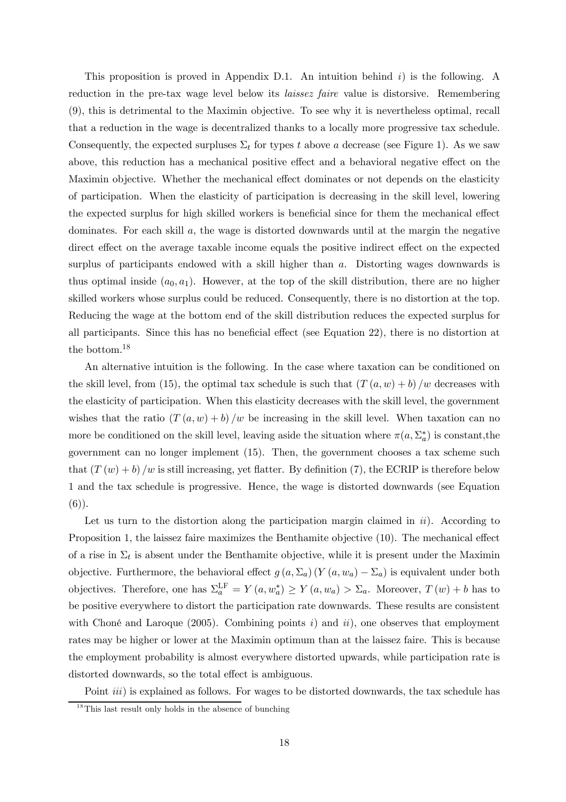This proposition is proved in Appendix D.1. An intuition behind  $i$ ) is the following. A reduction in the pre-tax wage level below its laissez faire value is distorsive. Remembering (9), this is detrimental to the Maximin objective. To see why it is nevertheless optimal, recall that a reduction in the wage is decentralized thanks to a locally more progressive tax schedule. Consequently, the expected surpluses  $\Sigma_t$  for types t above a decrease (see Figure 1). As we saw above, this reduction has a mechanical positive effect and a behavioral negative effect on the Maximin objective. Whether the mechanical effect dominates or not depends on the elasticity of participation. When the elasticity of participation is decreasing in the skill level, lowering the expected surplus for high skilled workers is beneficial since for them the mechanical effect dominates. For each skill  $a$ , the wage is distorted downwards until at the margin the negative direct effect on the average taxable income equals the positive indirect effect on the expected surplus of participants endowed with a skill higher than a. Distorting wages downwards is thus optimal inside  $(a_0, a_1)$ . However, at the top of the skill distribution, there are no higher skilled workers whose surplus could be reduced. Consequently, there is no distortion at the top. Reducing the wage at the bottom end of the skill distribution reduces the expected surplus for all participants. Since this has no beneficial effect (see Equation 22), there is no distortion at the bottom.18

An alternative intuition is the following. In the case where taxation can be conditioned on the skill level, from (15), the optimal tax schedule is such that  $(T(a, w) + b)/w$  decreases with the elasticity of participation. When this elasticity decreases with the skill level, the government wishes that the ratio  $(T(a, w) + b)/w$  be increasing in the skill level. When taxation can no more be conditioned on the skill level, leaving aside the situation where  $\pi(a, \Sigma_a^*)$  is constant, the government can no longer implement (15). Then, the government chooses a tax scheme such that  $(T(w) + b)/w$  is still increasing, yet flatter. By definition (7), the ECRIP is therefore below 1 and the tax schedule is progressive. Hence, the wage is distorted downwards (see Equation  $(6)$ ).

Let us turn to the distortion along the participation margin claimed in  $ii$ ). According to Proposition 1, the laissez faire maximizes the Benthamite objective (10). The mechanical effect of a rise in  $\Sigma_t$  is absent under the Benthamite objective, while it is present under the Maximin objective. Furthermore, the behavioral effect  $g(a, \Sigma_a) (Y(a, w_a) - \Sigma_a)$  is equivalent under both objectives. Therefore, one has  $\Sigma_a^{\text{LF}} = Y(a, w_a^*) \ge Y(a, w_a) > \Sigma_a$ . Moreover,  $T(w) + b$  has to be positive everywhere to distort the participation rate downwards. These results are consistent with Choné and Laroque (2005). Combining points i) and ii), one observes that employment rates may be higher or lower at the Maximin optimum than at the laissez faire. This is because the employment probability is almost everywhere distorted upwards, while participation rate is distorted downwards, so the total effect is ambiguous.

Point *iii*) is explained as follows. For wages to be distorted downwards, the tax schedule has

 $1<sup>8</sup>$ This last result only holds in the absence of bunching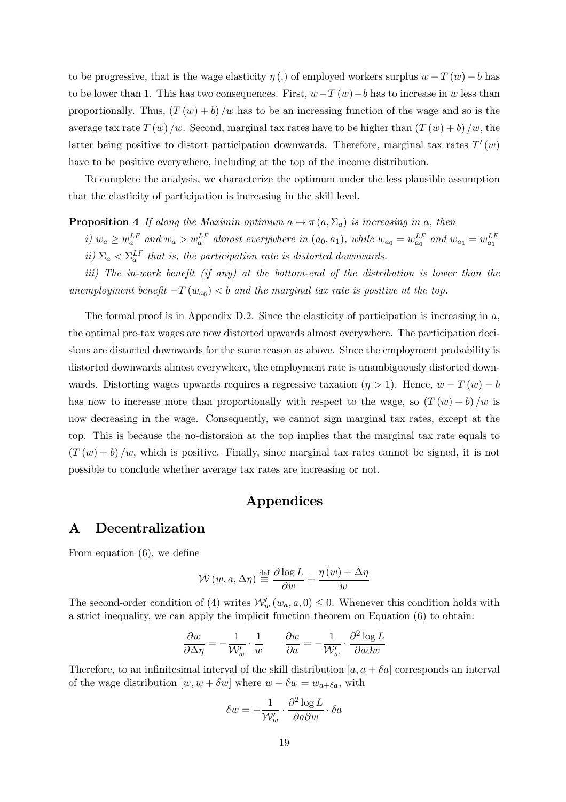to be progressive, that is the wage elasticity  $\eta(.)$  of employed workers surplus  $w - T(w) - b$  has to be lower than 1. This has two consequences. First,  $w-T(w)-b$  has to increase in w less than proportionally. Thus,  $(T(w) + b)/w$  has to be an increasing function of the wage and so is the average tax rate  $T(w)/w$ . Second, marginal tax rates have to be higher than  $(T(w) + b)/w$ , the latter being positive to distort participation downwards. Therefore, marginal tax rates  $T'(w)$ have to be positive everywhere, including at the top of the income distribution.

To complete the analysis, we characterize the optimum under the less plausible assumption that the elasticity of participation is increasing in the skill level.

**Proposition 4** If along the Maximin optimum  $a \mapsto \pi (a, \Sigma_a)$  is increasing in a, then

i)  $w_a \ge w_a^{LF}$  and  $w_a > w_a^{LF}$  almost everywhere in  $(a_0, a_1)$ , while  $w_{a_0} = w_{a_0}^{LF}$  and  $w_{a_1} = w_{a_1}^{LF}$ ii)  $\Sigma_a < \Sigma_a^{LF}$  that is, the participation rate is distorted downwards.

iii) The in-work benefit (if any) at the bottom-end of the distribution is lower than the unemployment benefit  $-T(w_{a_0}) < b$  and the marginal tax rate is positive at the top.

The formal proof is in Appendix D.2. Since the elasticity of participation is increasing in  $a$ , the optimal pre-tax wages are now distorted upwards almost everywhere. The participation decisions are distorted downwards for the same reason as above. Since the employment probability is distorted downwards almost everywhere, the employment rate is unambiguously distorted downwards. Distorting wages upwards requires a regressive taxation  $(\eta > 1)$ . Hence,  $w - T(w) - b$ has now to increase more than proportionally with respect to the wage, so  $(T(w) + b)/w$  is now decreasing in the wage. Consequently, we cannot sign marginal tax rates, except at the top. This is because the no-distorsion at the top implies that the marginal tax rate equals to  $(T (w) + b) / w$ , which is positive. Finally, since marginal tax rates cannot be signed, it is not possible to conclude whether average tax rates are increasing or not.

# Appendices

### A Decentralization

From equation (6), we define

$$
\mathcal{W}\left(w,a,\Delta\eta\right) \stackrel{\text{def}}{=} \frac{\partial \log L}{\partial w} + \frac{\eta\left(w\right) + \Delta\eta}{w}
$$

The second-order condition of (4) writes  $\mathcal{W}'_w(w_a, a, 0) \leq 0$ . Whenever this condition holds with a strict inequality, we can apply the implicit function theorem on Equation (6) to obtain:

$$
\frac{\partial w}{\partial \Delta \eta} = -\frac{1}{\mathcal{W}'_w} \cdot \frac{1}{w} \qquad \frac{\partial w}{\partial a} = -\frac{1}{\mathcal{W}'_w} \cdot \frac{\partial^2 \log L}{\partial a \partial w}
$$

Therefore, to an infinitesimal interval of the skill distribution  $[a, a + \delta a]$  corresponds an interval of the wage distribution  $[w, w + \delta w]$  where  $w + \delta w = w_{a+\delta a}$ , with

$$
\delta w = -\frac{1}{\mathcal{W}'_w} \cdot \frac{\partial^2 \log L}{\partial a \partial w} \cdot \delta a
$$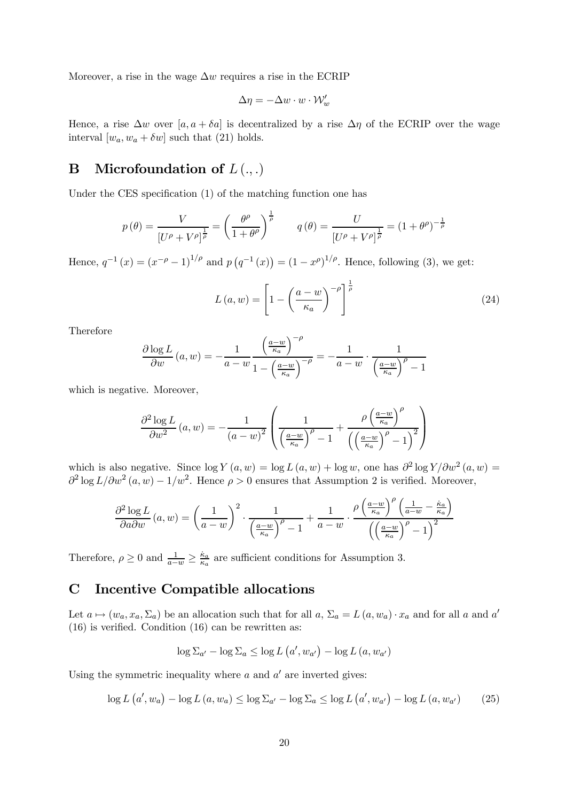Moreover, a rise in the wage  $\Delta w$  requires a rise in the ECRIP

$$
\Delta \eta = -\Delta w \cdot w \cdot \mathcal{W}'_w
$$

Hence, a rise  $\Delta w$  over [a, a +  $\delta a$ ] is decentralized by a rise  $\Delta \eta$  of the ECRIP over the wage interval  $[w_a, w_a + \delta w]$  such that (21) holds.

# **B** Microfoundation of  $L(.,.)$

Under the CES specification (1) of the matching function one has

$$
p(\theta) = \frac{V}{[U^{\rho} + V^{\rho}]^{\frac{1}{\rho}}} = \left(\frac{\theta^{\rho}}{1 + \theta^{\rho}}\right)^{\frac{1}{\rho}} \qquad q(\theta) = \frac{U}{[U^{\rho} + V^{\rho}]^{\frac{1}{\rho}}} = (1 + \theta^{\rho})^{-\frac{1}{\rho}}
$$

Hence,  $q^{-1}(x) = (x^{-\rho} - 1)^{1/\rho}$  and  $p(q^{-1}(x)) = (1 - x^{\rho})^{1/\rho}$ . Hence, following (3), we get:

$$
L(a, w) = \left[1 - \left(\frac{a - w}{\kappa_a}\right)^{-\rho}\right]^{\frac{1}{\rho}}
$$
\n(24)

Therefore

$$
\frac{\partial \log L}{\partial w}(a, w) = -\frac{1}{a - w} \frac{\left(\frac{a - w}{\kappa_a}\right)^{-\rho}}{1 - \left(\frac{a - w}{\kappa_a}\right)^{-\rho}} = -\frac{1}{a - w} \cdot \frac{1}{\left(\frac{a - w}{\kappa_a}\right)^{\rho} - 1}
$$

which is negative. Moreover,

$$
\frac{\partial^2 \log L}{\partial w^2} (a, w) = -\frac{1}{(a-w)^2} \left( \frac{1}{\left(\frac{a-w}{\kappa_a}\right)^\rho - 1} + \frac{\rho \left(\frac{a-w}{\kappa_a}\right)^\rho}{\left(\left(\frac{a-w}{\kappa_a}\right)^\rho - 1\right)^2} \right)
$$

which is also negative. Since  $\log Y(a, w) = \log L(a, w) + \log w$ , one has  $\partial^2 \log Y / \partial w^2(a, w) =$  $\frac{\partial^2 \log L}{\partial w^2}(a, w) - \frac{1}{w^2}$ . Hence  $\rho > 0$  ensures that Assumption 2 is verified. Moreover,

$$
\frac{\partial^2 \log L}{\partial a \partial w}(a, w) = \left(\frac{1}{a - w}\right)^2 \cdot \frac{1}{\left(\frac{a - w}{\kappa_a}\right)^\rho - 1} + \frac{1}{a - w} \cdot \frac{\rho \left(\frac{a - w}{\kappa_a}\right)^\rho \left(\frac{1}{a - w} - \frac{\kappa_a}{\kappa_a}\right)}{\left(\left(\frac{a - w}{\kappa_a}\right)^\rho - 1\right)^2}
$$

Therefore,  $\rho \ge 0$  and  $\frac{1}{a-w} \ge \frac{k_a}{\kappa_a}$  are sufficient conditions for Assumption 3.

# C Incentive Compatible allocations

Let  $a \mapsto (w_a, x_a, \Sigma_a)$  be an allocation such that for all  $a, \Sigma_a = L(a, w_a) \cdot x_a$  and for all a and a' (16) is verified. Condition (16) can be rewritten as:

$$
\log \Sigma_{a'} - \log \Sigma_a \leq \log L\left(a', w_{a'}\right) - \log L\left(a, w_{a'}\right)
$$

Using the symmetric inequality where  $a$  and  $a'$  are inverted gives:

$$
\log L\left(a', w_a\right) - \log L\left(a, w_a\right) \le \log \Sigma_{a'} - \log \Sigma_a \le \log L\left(a', w_{a'}\right) - \log L\left(a, w_{a'}\right) \tag{25}
$$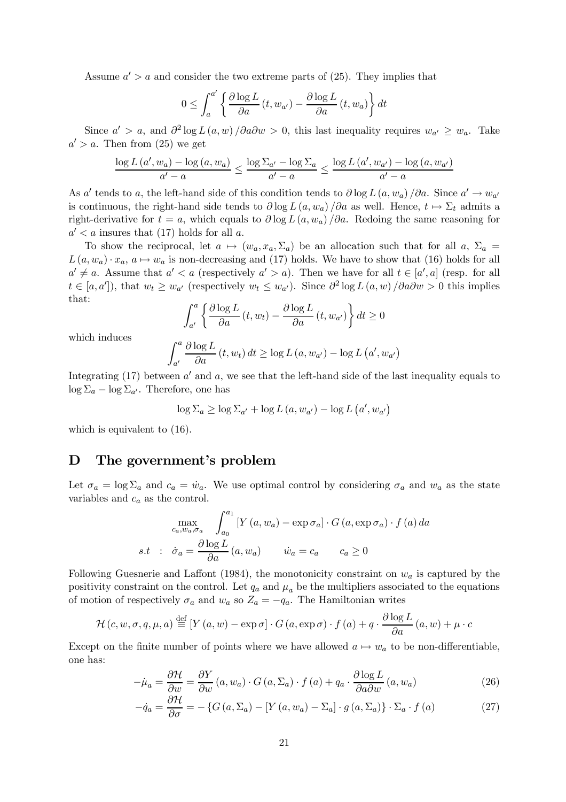Assume  $a' > a$  and consider the two extreme parts of (25). They implies that

$$
0 \leq \int_{a}^{a'} \left\{ \frac{\partial \log L}{\partial a} \left( t, w_{a'} \right) - \frac{\partial \log L}{\partial a} \left( t, w_{a} \right) \right\} dt
$$

Since  $a' > a$ , and  $\partial^2 \log L(a, w) / \partial a \partial w > 0$ , this last inequality requires  $w_{a'} > w_{a}$ . Take  $a' > a$ . Then from (25) we get

$$
\frac{\log L(a', w_a) - \log(a, w_a)}{a' - a} \le \frac{\log \Sigma_{a'} - \log \Sigma_a}{a' - a} \le \frac{\log L(a', w_{a'}) - \log(a, w_{a'})}{a' - a}
$$

As a' tends to a, the left-hand side of this condition tends to  $\partial \log L(a, w_a) / \partial a$ . Since  $a' \to w_{a'}$ is continuous, the right-hand side tends to  $\partial \log L(a, w_a) / \partial a$  as well. Hence,  $t \mapsto \Sigma_t$  admits a right-derivative for  $t = a$ , which equals to  $\partial \log L(a, w_a)/\partial a$ . Redoing the same reasoning for  $a' < a$  insures that (17) holds for all a.

To show the reciprocal, let  $a \mapsto (w_a, x_a, \Sigma_a)$  be an allocation such that for all  $a, \Sigma_a =$  $L(a, w_a) \cdot x_a$ ,  $a \mapsto w_a$  is non-decreasing and (17) holds. We have to show that (16) holds for all  $a' \neq a$ . Assume that  $a' < a$  (respectively  $a' > a$ ). Then we have for all  $t \in [a', a]$  (resp. for all  $t \in [a, a'],$  that  $w_t \geq w_{a'}$  (respectively  $w_t \leq w_{a'}$ ). Since  $\partial^2 \log L(a, w) / \partial a \partial w > 0$  this implies that:

$$
\int_{a'}^{a} \left\{ \frac{\partial \log L}{\partial a} \left( t, w_t \right) - \frac{\partial \log L}{\partial a} \left( t, w_{a'} \right) \right\} dt \ge 0
$$

which induces

$$
\int_{a'}^{a} \frac{\partial \log L}{\partial a} (t, w_t) dt \ge \log L(a, w_{a'}) - \log L(a', w_{a'})
$$

Integrating  $(17)$  between a' and a, we see that the left-hand side of the last inequality equals to  $\log \Sigma_a - \log \Sigma_{a'}$ . Therefore, one has

$$
\log \Sigma_a \ge \log \Sigma_{a'} + \log L(a, w_{a'}) - \log L(a', w_{a'})
$$

which is equivalent to  $(16)$ .

### D The government's problem

Let  $\sigma_a = \log \Sigma_a$  and  $c_a = \dot{w}_a$ . We use optimal control by considering  $\sigma_a$  and  $w_a$  as the state variables and  $c_a$  as the control.

$$
\max_{c_a, w_a, \sigma_a} \int_{a_0}^{a_1} \left[ Y(a, w_a) - \exp \sigma_a \right] \cdot G(a, \exp \sigma_a) \cdot f(a) da
$$
  
s.t :  $\dot{\sigma}_a = \frac{\partial \log L}{\partial a} (a, w_a) \qquad \dot{w}_a = c_a \qquad c_a \ge 0$ 

Following Guesnerie and Laffont (1984), the monotonicity constraint on  $w_a$  is captured by the positivity constraint on the control. Let  $q_a$  and  $\mu_a$  be the multipliers associated to the equations of motion of respectively  $\sigma_a$  and  $w_a$  so  $Z_a = -q_a$ . The Hamiltonian writes

$$
\mathcal{H}(c, w, \sigma, q, \mu, a) \stackrel{\text{def}}{=} \left[ Y(a, w) - \exp \sigma \right] \cdot G(a, \exp \sigma) \cdot f(a) + q \cdot \frac{\partial \log L}{\partial a}(a, w) + \mu \cdot c
$$

Except on the finite number of points where we have allowed  $a \mapsto w_a$  to be non-differentiable, one has:

$$
-\dot{\mu}_a = \frac{\partial \mathcal{H}}{\partial w} = \frac{\partial Y}{\partial w} (a, w_a) \cdot G (a, \Sigma_a) \cdot f (a) + q_a \cdot \frac{\partial \log L}{\partial a \partial w} (a, w_a)
$$
(26)

$$
-\dot{q}_a = \frac{\partial \mathcal{H}}{\partial \sigma} = -\left\{ G\left(a, \Sigma_a\right) - \left[ Y\left(a, w_a\right) - \Sigma_a \right] \cdot g\left(a, \Sigma_a\right) \right\} \cdot \Sigma_a \cdot f\left(a\right) \tag{27}
$$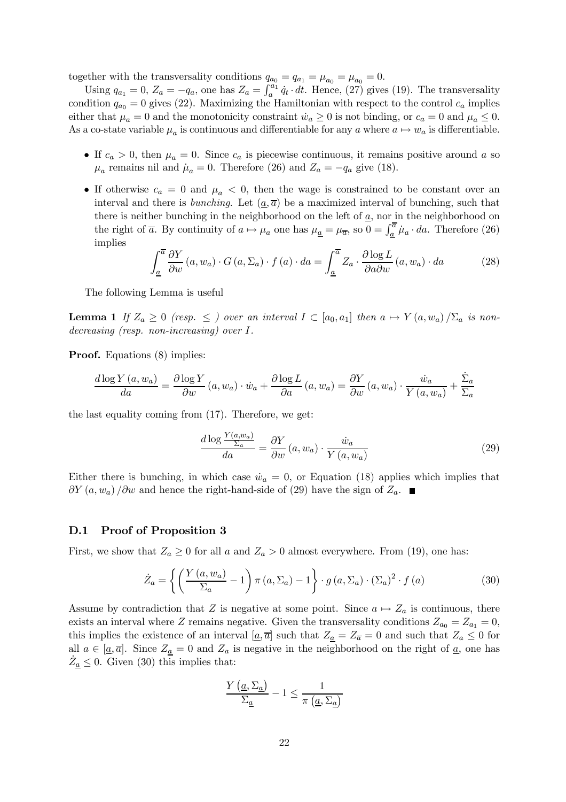together with the transversality conditions  $q_{a_0} = q_{a_1} = \mu_{a_0} = \mu_{a_0} = 0.$ 

Using  $q_{a_1} = 0$ ,  $Z_a = -q_a$ , one has  $Z_a = \int_a^{a_1} \dot{q}_t \cdot dt$ . Hence, (27) gives (19). The transversality condition  $q_{a_0} = 0$  gives (22). Maximizing the Hamiltonian with respect to the control  $c_a$  implies either that  $\mu_a = 0$  and the monotonicity constraint  $\dot{w}_a \ge 0$  is not binding, or  $c_a = 0$  and  $\mu_a \le 0$ . As a co-state variable  $\mu_a$  is continuous and differentiable for any a where  $a \mapsto w_a$  is differentiable.

- If  $c_a > 0$ , then  $\mu_a = 0$ . Since  $c_a$  is piecewise continuous, it remains positive around a so  $\mu_a$  remains nil and  $\mu_a = 0$ . Therefore (26) and  $Z_a = -q_a$  give (18).
- If otherwise  $c_a = 0$  and  $\mu_a < 0$ , then the wage is constrained to be constant over an interval and there is *bunching*. Let  $(a, \overline{a})$  be a maximized interval of bunching, such that there is neither bunching in the neighborhood on the left of  $\underline{a}$ , nor in the neighborhood on the right of  $\bar{a}$ . By continuity of  $a \mapsto \mu_a$  one has  $\mu_{\underline{a}} = \mu_{\overline{a}}$ , so  $0 = \int_{\underline{a}}^{\overline{a}} \mu_a \cdot da$ . Therefore (26) implies

$$
\int_{\underline{a}}^{\overline{a}} \frac{\partial Y}{\partial w}(a, w_a) \cdot G(a, \Sigma_a) \cdot f(a) \cdot da = \int_{\underline{a}}^{\overline{a}} Z_a \cdot \frac{\partial \log L}{\partial a \partial w}(a, w_a) \cdot da \tag{28}
$$

The following Lemma is useful

**Lemma 1** If  $Z_a \geq 0$  (resp.  $\leq$  ) over an interval  $I \subset [a_0, a_1]$  then  $a \mapsto Y(a, w_a)/\Sigma_a$  is nondecreasing (resp. non-increasing) over I.

**Proof.** Equations (8) implies:

$$
\frac{d \log Y(a, w_a)}{da} = \frac{\partial \log Y}{\partial w}(a, w_a) \cdot \dot{w}_a + \frac{\partial \log L}{\partial a}(a, w_a) = \frac{\partial Y}{\partial w}(a, w_a) \cdot \frac{\dot{w}_a}{Y(a, w_a)} + \frac{\dot{\Sigma}_a}{\Sigma_a}
$$

the last equality coming from (17). Therefore, we get:

$$
\frac{d \log \frac{Y(a, w_a)}{\Sigma_a}}{da} = \frac{\partial Y}{\partial w} (a, w_a) \cdot \frac{\dot{w}_a}{Y(a, w_a)}
$$
(29)

Either there is bunching, in which case  $\dot{w}_a = 0$ , or Equation (18) applies which implies that  $\partial Y(a, w_a) / \partial w$  and hence the right-hand-side of (29) have the sign of  $Z_a$ .

#### D.1 Proof of Proposition 3

First, we show that  $Z_a \geq 0$  for all a and  $Z_a > 0$  almost everywhere. From (19), one has:

$$
\dot{Z}_a = \left\{ \left( \frac{Y\left(a, w_a\right)}{\Sigma_a} - 1 \right) \pi\left(a, \Sigma_a\right) - 1 \right\} \cdot g\left(a, \Sigma_a\right) \cdot \left(\Sigma_a\right)^2 \cdot f\left(a\right) \tag{30}
$$

Assume by contradiction that Z is negative at some point. Since  $a \mapsto Z_a$  is continuous, there exists an interval where Z remains negative. Given the transversality conditions  $Z_{a_0} = Z_{a_1} = 0$ , this implies the existence of an interval  $[\underline{a}, \overline{a}]$  such that  $Z_{\underline{a}} = Z_{\overline{a}} = 0$  and such that  $Z_a \leq 0$  for all  $a \in [\underline{a}, \overline{a}]$ . Since  $Z_{\underline{a}} = 0$  and  $Z_a$  is negative in the neighborhood on the right of  $\underline{a}$ , one has  $\dot{Z}_{\underline{a}} \leq 0$ . Given (30) this implies that:

$$
\frac{Y\left(\underline{a},\Sigma_{\underline{a}}\right)}{\Sigma_{\underline{a}}}-1\leq\frac{1}{\pi\left(\underline{a},\Sigma_{\underline{a}}\right)}
$$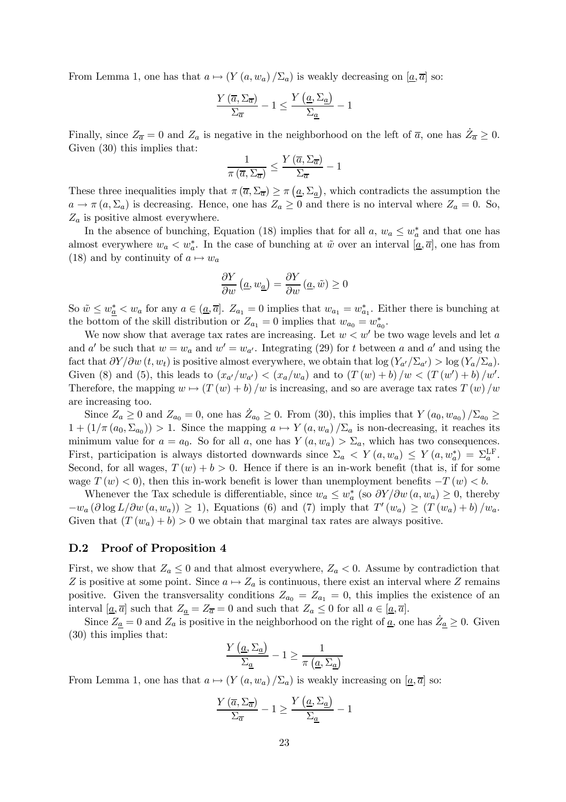From Lemma 1, one has that  $a \mapsto (Y (a, w_a) / \Sigma_a)$  is weakly decreasing on  $[\underline{a}, \overline{a}]$  so:

$$
\frac{Y\left(\overline{a}, \Sigma_{\overline{a}}\right)}{\Sigma_{\overline{a}}} - 1 \le \frac{Y\left(\underline{a}, \Sigma_{\underline{a}}\right)}{\Sigma_{\underline{a}}} - 1
$$

Finally, since  $Z_{\overline{a}} = 0$  and  $Z_a$  is negative in the neighborhood on the left of  $\overline{a}$ , one has  $\overline{Z_{\overline{a}}} \geq 0$ . Given  $(30)$  this implies that:

$$
\frac{1}{\pi\left(\overline{a},\Sigma_{\overline{a}}\right)}\leq\frac{Y\left(\overline{a},\Sigma_{\overline{a}}\right)}{\Sigma_{\overline{a}}}-1
$$

These three inequalities imply that  $\pi(\overline{a}, \Sigma_{\overline{a}}) \ge \pi(\underline{a}, \Sigma_{\underline{a}})$ , which contradicts the assumption the  $a \to \pi (a, \Sigma_a)$  is decreasing. Hence, one has  $Z_a \geq 0$  and there is no interval where  $Z_a = 0$ . So,  $Z_a$  is positive almost everywhere.

In the absence of bunching, Equation (18) implies that for all  $a, w_a \leq w_a^*$  and that one has almost everywhere  $w_a < w_a^*$ . In the case of bunching at  $\tilde{w}$  over an interval  $[\underline{a}, \overline{a}]$ , one has from (18) and by continuity of  $a \mapsto w_a$ 

$$
\frac{\partial Y}{\partial w} \left( \underline{a}, w_{\underline{a}} \right) = \frac{\partial Y}{\partial w} \left( \underline{a}, \tilde{w} \right) \ge 0
$$

So  $\tilde{w} \leq w_{\underline{a}}^* \leq w_a$  for any  $a \in (\underline{a}, \overline{a}]$ .  $Z_{a_1} = 0$  implies that  $w_{a_1} = w_{a_1}^*$ . Either there is bunching at the bottom of the skill distribution or  $Z_{a_1} = 0$  implies that  $w_{a_0} = w_{a_0}^*$ .

We now show that average tax rates are increasing. Let  $w < w'$  be two wage levels and let a and a' be such that  $w = w_a$  and  $w' = w_{a'}$ . Integrating (29) for t between a and a' and using the fact that  $\partial Y/\partial w(t, w_t)$  is positive almost everywhere, we obtain that  $\log(Y_{a}/\Sigma_{a'}) > \log(Y_a/\Sigma_a)$ . Given (8) and (5), this leads to  $(x_{a'}/w_{a'}) < (x_a/w_a)$  and to  $(T(w) + b)/w < (T(w') + b)/w'$ . Therefore, the mapping  $w \mapsto (T(w) + b) / w$  is increasing, and so are average tax rates  $T(w) / w$ are increasing too.

Since  $Z_a \ge 0$  and  $Z_{a_0} = 0$ , one has  $Z_{a_0} \ge 0$ . From (30), this implies that  $Y(a_0, w_{a_0})/\Sigma_{a_0} \ge 0$  $1 + (1/\pi (a_0, \Sigma_{a_0})) > 1$ . Since the mapping  $a \mapsto Y(a, w_a) / \Sigma_a$  is non-decreasing, it reaches its minimum value for  $a = a_0$ . So for all a, one has  $Y(a, w_a) > \Sigma_a$ , which has two consequences. First, participation is always distorted downwards since  $\Sigma_a \langle Y(a, w_a) \rangle \leq Y(a, w_a^*) = \Sigma_a^{\text{LF}}$ . Second, for all wages,  $T(w) + b > 0$ . Hence if there is an in-work benefit (that is, if for some wage  $T(w) < 0$ , then this in-work benefit is lower than unemployment benefits  $-T(w) < b$ .

Whenever the Tax schedule is differentiable, since  $w_a \leq w_a^*$  (so  $\partial Y/\partial w_a$   $(a, w_a) \geq 0$ , thereby  $-w_a(\partial \log L/\partial w(a, w_a)) \geq 1$ , Equations (6) and (7) imply that  $T'(w_a) \geq (T(w_a) + b)/w_a$ . Given that  $(T(w_a) + b) > 0$  we obtain that marginal tax rates are always positive.

### D.2 Proof of Proposition 4

First, we show that  $Z_a \leq 0$  and that almost everywhere,  $Z_a < 0$ . Assume by contradiction that Z is positive at some point. Since  $a \mapsto Z_a$  is continuous, there exist an interval where Z remains positive. Given the transversality conditions  $Z_{a_0} = Z_{a_1} = 0$ , this implies the existence of an interval  $[\underline{a}, \overline{a}]$  such that  $Z_{\underline{a}} = Z_{\overline{a}} = 0$  and such that  $Z_a \leq 0$  for all  $a \in [\underline{a}, \overline{a}]$ .

Since  $Z_{\underline{a}} = 0$  and  $Z_a$  is positive in the neighborhood on the right of  $\underline{a}$ , one has  $\dot{Z}_{\underline{a}} \geq 0$ . Given (30) this implies that:

$$
\frac{Y\left(\underline{a},\Sigma_{\underline{a}}\right)}{\Sigma_{\underline{a}}}-1\geq \frac{1}{\pi\left(\underline{a},\Sigma_{\underline{a}}\right)}
$$

From Lemma 1, one has that  $a \mapsto (Y (a, w_a) / \Sigma_a)$  is weakly increasing on  $[\underline{a}, \overline{a}]$  so:

$$
\frac{Y\left(\overline{a},\Sigma_{\overline{a}}\right)}{\Sigma_{\overline{a}}}-1\geq \frac{Y\left(\underline{a},\Sigma_{\underline{a}}\right)}{\Sigma_{\underline{a}}}-1
$$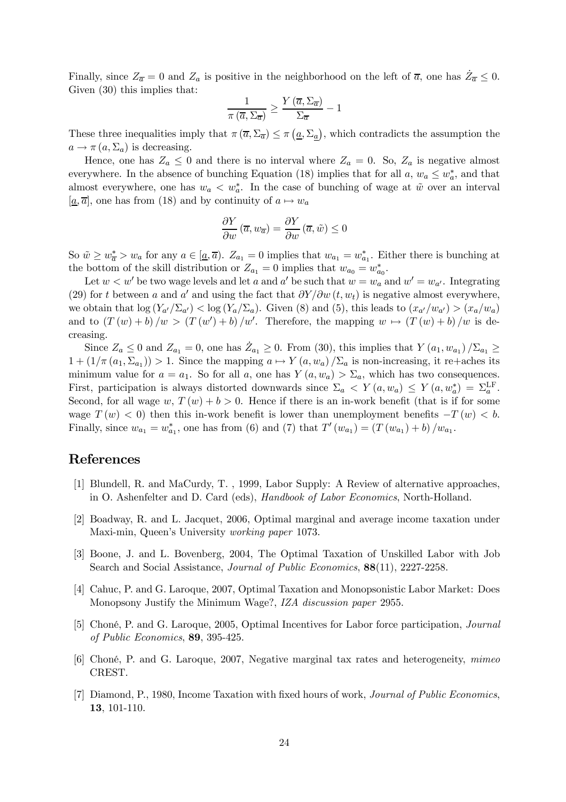Finally, since  $Z_{\overline{a}} = 0$  and  $Z_a$  is positive in the neighborhood on the left of  $\overline{a}$ , one has  $\overline{Z_{\overline{a}}} \leq 0$ . Given  $(30)$  this implies that:

$$
\frac{1}{\pi\left(\overline{a},\Sigma_{\overline{a}}\right)} \ge \frac{Y\left(\overline{a},\Sigma_{\overline{a}}\right)}{\Sigma_{\overline{a}}} - 1
$$

These three inequalities imply that  $\pi(\overline{a}, \Sigma_{\overline{a}}) \leq \pi(\underline{a}, \Sigma_{\underline{a}})$ , which contradicts the assumption the  $a \rightarrow \pi (a, \Sigma_a)$  is decreasing.

Hence, one has  $Z_a \leq 0$  and there is no interval where  $Z_a = 0$ . So,  $Z_a$  is negative almost everywhere. In the absence of bunching Equation (18) implies that for all  $a, w_a \leq w_a^*$ , and that almost everywhere, one has  $w_a < w_a^*$ . In the case of bunching of wage at  $\tilde{w}$  over an interval  $[\underline{a}, \overline{a}]$ , one has from (18) and by continuity of  $a \mapsto w_a$ 

$$
\frac{\partial Y}{\partial w}(\overline{a}, w_{\overline{a}}) = \frac{\partial Y}{\partial w}(\overline{a}, \tilde{w}) \le 0
$$

So  $\tilde{w} \geq w_{\overline{a}}^* > w_a$  for any  $a \in [\underline{a}, \overline{a})$ .  $Z_{a_1} = 0$  implies that  $w_{a_1} = w_{a_1}^*$ . Either there is bunching at the bottom of the skill distribution or  $Z_{a_1} = 0$  implies that  $w_{a_0} = w_{a_0}^*$ .

Let  $w < w'$  be two wage levels and let a and a' be such that  $w = w_a$  and  $w' = w_{a'}$ . Integrating (29) for t between a and a' and using the fact that  $\partial Y/\partial w(t, w_t)$  is negative almost everywhere, we obtain that  $\log(Y_{a}/\Sigma_{a'}) < \log(Y_a/\Sigma_a)$ . Given (8) and (5), this leads to  $(x_{a'}/w_{a'}) > (x_a/w_a)$ and to  $(T(w) + b)/w > (T(w') + b)/w'$ . Therefore, the mapping  $w \mapsto (T(w) + b)/w$  is decreasing.

Since  $Z_a \leq 0$  and  $Z_{a_1} = 0$ , one has  $Z_{a_1} \geq 0$ . From (30), this implies that  $Y(a_1, w_{a_1})/\Sigma_{a_1} \geq 0$  $1 + (1/\pi (a_1, \Sigma_{a_1})) > 1$ . Since the mapping  $a \mapsto Y(a, w_a) / \Sigma_a$  is non-increasing, it re+aches its minimum value for  $a = a_1$ . So for all a, one has  $Y(a, w_a) > \Sigma_a$ , which has two consequences. First, participation is always distorted downwards since  $\Sigma_a \langle Y(a, w_a) \rangle \leq Y(a, w_a^*) = \Sigma_a^{\text{LF}}$ . Second, for all wage w,  $T(w) + b > 0$ . Hence if there is an in-work benefit (that is if for some wage  $T(w) < 0$ ) then this in-work benefit is lower than unemployment benefits  $-T(w) < b$ . Finally, since  $w_{a_1} = w_{a_1}^*$ , one has from (6) and (7) that  $T'(w_{a_1}) = (T(w_{a_1}) + b)/w_{a_1}$ .

### References

- [1] Blundell, R. and MaCurdy, T. , 1999, Labor Supply: A Review of alternative approaches, in O. Ashenfelter and D. Card (eds), Handbook of Labor Economics, North-Holland.
- [2] Boadway, R. and L. Jacquet, 2006, Optimal marginal and average income taxation under Maxi-min, Queen's University working paper 1073.
- [3] Boone, J. and L. Bovenberg, 2004, The Optimal Taxation of Unskilled Labor with Job Search and Social Assistance, Journal of Public Economics, 88(11), 2227-2258.
- [4] Cahuc, P. and G. Laroque, 2007, Optimal Taxation and Monopsonistic Labor Market: Does Monopsony Justify the Minimum Wage?, IZA discussion paper 2955.
- [5] Choné, P. and G. Laroque, 2005, Optimal Incentives for Labor force participation, Journal of Public Economics, 89, 395-425.
- [6] Choné, P. and G. Laroque, 2007, Negative marginal tax rates and heterogeneity, mimeo CREST.
- [7] Diamond, P., 1980, Income Taxation with fixed hours of work, Journal of Public Economics, 13, 101-110.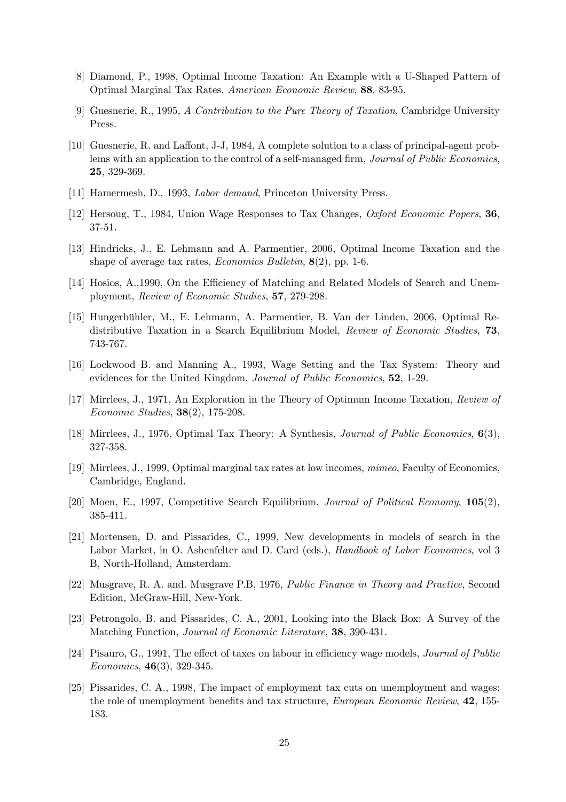- [8] Diamond, P., 1998, Optimal Income Taxation: An Example with a U-Shaped Pattern of Optimal Marginal Tax Rates, American Economic Review, 88, 83-95.
- [9] Guesnerie, R., 1995, A Contribution to the Pure Theory of Taxation, Cambridge University Press.
- [10] Guesnerie, R. and Laffont, J-J, 1984, A complete solution to a class of principal-agent problems with an application to the control of a self-managed firm, Journal of Public Economics, 25, 329-369.
- [11] Hamermesh, D., 1993, *Labor demand*, Princeton University Press.
- [12] Hersoug, T., 1984, Union Wage Responses to Tax Changes, Oxford Economic Papers, 36, 37-51.
- [13] Hindricks, J., E. Lehmann and A. Parmentier, 2006, Optimal Income Taxation and the shape of average tax rates, *Economics Bulletin*, **8**(2), pp. 1-6.
- [14] Hosios, A.,1990, On the Efficiency of Matching and Related Models of Search and Unemployment, Review of Economic Studies, 57, 279-298.
- [15] Hungerbühler, M., E. Lehmann, A. Parmentier, B. Van der Linden, 2006, Optimal Redistributive Taxation in a Search Equilibrium Model, Review of Economic Studies, 73, 743-767.
- [16] Lockwood B. and Manning A., 1993, Wage Setting and the Tax System: Theory and evidences for the United Kingdom, Journal of Public Economics, 52, 1-29.
- [17] Mirrlees, J., 1971, An Exploration in the Theory of Optimum Income Taxation, Review of Economic Studies, 38(2), 175-208.
- [18] Mirrlees, J., 1976, Optimal Tax Theory: A Synthesis, Journal of Public Economics, 6(3), 327-358.
- [19] Mirrlees, J., 1999, Optimal marginal tax rates at low incomes, mimeo, Faculty of Economics, Cambridge, England.
- [20] Moen, E., 1997, Competitive Search Equilibrium, Journal of Political Economy, 105(2), 385-411.
- [21] Mortensen, D. and Pissarides, C., 1999, New developments in models of search in the Labor Market, in O. Ashenfelter and D. Card (eds.), *Handbook of Labor Economics*, vol 3 B, North-Holland, Amsterdam.
- [22] Musgrave, R. A. and. Musgrave P.B, 1976, Public Finance in Theory and Practice, Second Edition, McGraw-Hill, New-York.
- [23] Petrongolo, B. and Pissarides, C. A., 2001, Looking into the Black Box: A Survey of the Matching Function, Journal of Economic Literature, 38, 390-431.
- [24] Pisauro, G., 1991. The effect of taxes on labour in efficiency wage models, *Journal of Public* Economics, 46(3), 329-345.
- [25] Pissarides, C. A., 1998, The impact of employment tax cuts on unemployment and wages: the role of unemployment benefits and tax structure, *European Economic Review*, **42**, 155-183.